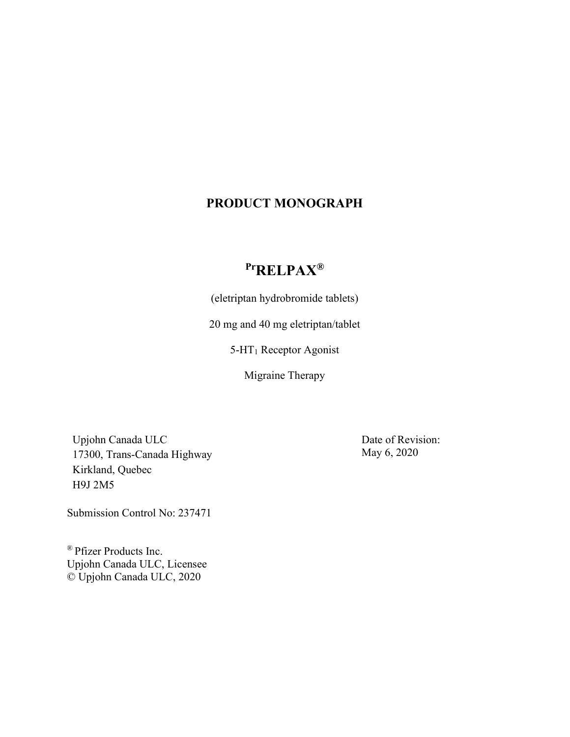## PRODUCT MONOGRAPH

# PrRELPAX®

(eletriptan hydrobromide tablets)

20 mg and 40 mg eletriptan/tablet

5-HT1 Receptor Agonist

Migraine Therapy

Upjohn Canada ULC 17300, Trans-Canada Highway Kirkland, Quebec H9J 2M5

Date of Revision: May 6, 2020

Submission Control No: 237471

® Pfizer Products Inc. Upjohn Canada ULC, Licensee © Upjohn Canada ULC, 2020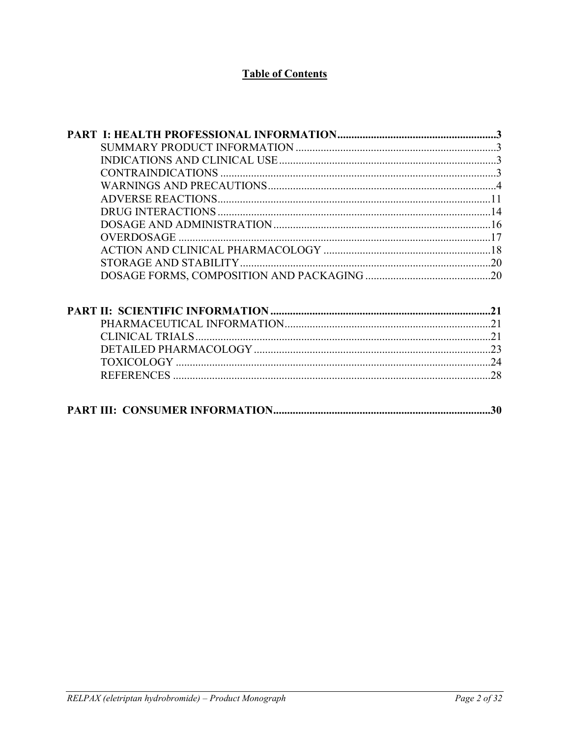## **Table of Contents**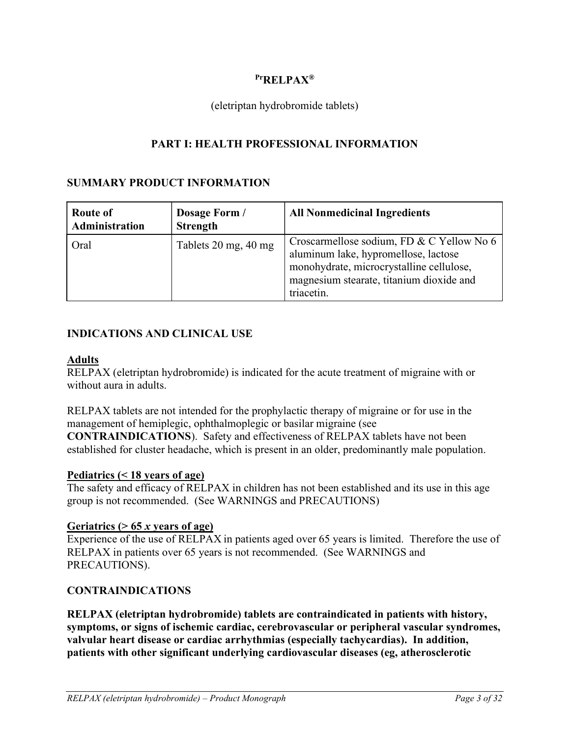### PrRELPAX®

### (eletriptan hydrobromide tablets)

### PART I: HEALTH PROFESSIONAL INFORMATION

#### <span id="page-2-0"></span>SUMMARY PRODUCT INFORMATION

| Route of<br>Administration | Dosage Form /<br><b>Strength</b> | <b>All Nonmedicinal Ingredients</b>                                                                                                                                                     |
|----------------------------|----------------------------------|-----------------------------------------------------------------------------------------------------------------------------------------------------------------------------------------|
| Oral                       | Tablets 20 mg, 40 mg             | Croscarmellose sodium, FD & C Yellow No 6<br>aluminum lake, hypromellose, lactose<br>monohydrate, microcrystalline cellulose,<br>magnesium stearate, titanium dioxide and<br>triacetin. |

### INDICATIONS AND CLINICAL USE

#### Adults

RELPAX (eletriptan hydrobromide) is indicated for the acute treatment of migraine with or without aura in adults.

RELPAX tablets are not intended for the prophylactic therapy of migraine or for use in the management of hemiplegic, ophthalmoplegic or basilar migraine (see

CONTRAINDICATIONS). Safety and effectiveness of RELPAX tablets have not been established for cluster headache, which is present in an older, predominantly male population.

#### Pediatrics (< 18 years of age)

The safety and efficacy of RELPAX in children has not been established and its use in this age group is not recommended. (See WARNINGS and PRECAUTIONS)

### Geriatrics  $(> 65 x \text{ years of age})$

Experience of the use of RELPAX in patients aged over 65 years is limited. Therefore the use of RELPAX in patients over 65 years is not recommended. (See WARNINGS and PRECAUTIONS).

### CONTRAINDICATIONS

RELPAX (eletriptan hydrobromide) tablets are contraindicated in patients with history, symptoms, or signs of ischemic cardiac, cerebrovascular or peripheral vascular syndromes, valvular heart disease or cardiac arrhythmias (especially tachycardias). In addition, patients with other significant underlying cardiovascular diseases (eg, atherosclerotic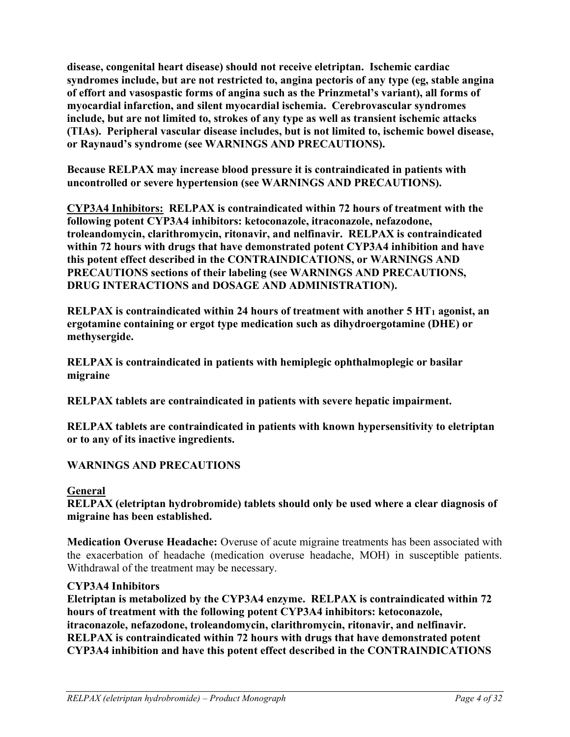<span id="page-3-0"></span>disease, congenital heart disease) should not receive eletriptan. Ischemic cardiac syndromes include, but are not restricted to, angina pectoris of any type (eg, stable angina of effort and vasospastic forms of angina such as the Prinzmetal's variant), all forms of myocardial infarction, and silent myocardial ischemia. Cerebrovascular syndromes include, but are not limited to, strokes of any type as well as transient ischemic attacks (TIAs). Peripheral vascular disease includes, but is not limited to, ischemic bowel disease, or Raynaud's syndrome (see WARNINGS AND PRECAUTIONS).

Because RELPAX may increase blood pressure it is contraindicated in patients with uncontrolled or severe hypertension (see WARNINGS AND PRECAUTIONS).

CYP3A4 Inhibitors: RELPAX is contraindicated within 72 hours of treatment with the following potent CYP3A4 inhibitors: ketoconazole, itraconazole, nefazodone, troleandomycin, clarithromycin, ritonavir, and nelfinavir. RELPAX is contraindicated within 72 hours with drugs that have demonstrated potent CYP3A4 inhibition and have this potent effect described in the CONTRAINDICATIONS, or WARNINGS AND PRECAUTIONS sections of their labeling (see WARNINGS AND PRECAUTIONS, DRUG INTERACTIONS and DOSAGE AND ADMINISTRATION).

RELPAX is contraindicated within 24 hours of treatment with another 5  $HT_1$  agonist, an ergotamine containing or ergot type medication such as dihydroergotamine (DHE) or methysergide.

RELPAX is contraindicated in patients with hemiplegic ophthalmoplegic or basilar migraine

RELPAX tablets are contraindicated in patients with severe hepatic impairment.

RELPAX tablets are contraindicated in patients with known hypersensitivity to eletriptan or to any of its inactive ingredients.

## WARNINGS AND PRECAUTIONS

## General

RELPAX (eletriptan hydrobromide) tablets should only be used where a clear diagnosis of migraine has been established.

Medication Overuse Headache: Overuse of acute migraine treatments has been associated with the exacerbation of headache (medication overuse headache, MOH) in susceptible patients. Withdrawal of the treatment may be necessary.

### CYP3A4 Inhibitors

Eletriptan is metabolized by the CYP3A4 enzyme. RELPAX is contraindicated within 72 hours of treatment with the following potent CYP3A4 inhibitors: ketoconazole, itraconazole, nefazodone, troleandomycin, clarithromycin, ritonavir, and nelfinavir. RELPAX is contraindicated within 72 hours with drugs that have demonstrated potent CYP3A4 inhibition and have this potent effect described in the CONTRAINDICATIONS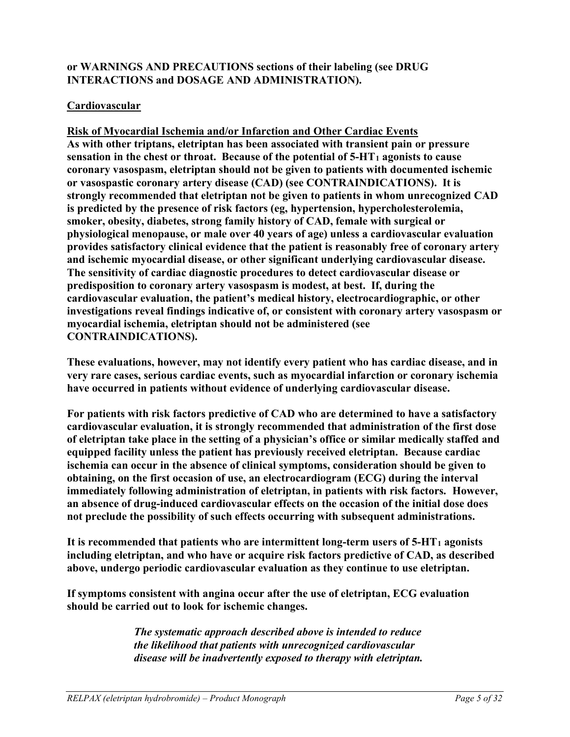### or WARNINGS AND PRECAUTIONS sections of their labeling (see DRUG INTERACTIONS and DOSAGE AND ADMINISTRATION).

### Cardiovascular

Risk of Myocardial Ischemia and/or Infarction and Other Cardiac Events As with other triptans, eletriptan has been associated with transient pain or pressure sensation in the chest or throat. Because of the potential of 5-HT1 agonists to cause coronary vasospasm, eletriptan should not be given to patients with documented ischemic or vasospastic coronary artery disease (CAD) (see CONTRAINDICATIONS). It is strongly recommended that eletriptan not be given to patients in whom unrecognized CAD is predicted by the presence of risk factors (eg, hypertension, hypercholesterolemia, smoker, obesity, diabetes, strong family history of CAD, female with surgical or physiological menopause, or male over 40 years of age) unless a cardiovascular evaluation provides satisfactory clinical evidence that the patient is reasonably free of coronary artery and ischemic myocardial disease, or other significant underlying cardiovascular disease. The sensitivity of cardiac diagnostic procedures to detect cardiovascular disease or predisposition to coronary artery vasospasm is modest, at best. If, during the cardiovascular evaluation, the patient's medical history, electrocardiographic, or other investigations reveal findings indicative of, or consistent with coronary artery vasospasm or myocardial ischemia, eletriptan should not be administered (see CONTRAINDICATIONS).

These evaluations, however, may not identify every patient who has cardiac disease, and in very rare cases, serious cardiac events, such as myocardial infarction or coronary ischemia have occurred in patients without evidence of underlying cardiovascular disease.

For patients with risk factors predictive of CAD who are determined to have a satisfactory cardiovascular evaluation, it is strongly recommended that administration of the first dose of eletriptan take place in the setting of a physician's office or similar medically staffed and equipped facility unless the patient has previously received eletriptan. Because cardiac ischemia can occur in the absence of clinical symptoms, consideration should be given to obtaining, on the first occasion of use, an electrocardiogram (ECG) during the interval immediately following administration of eletriptan, in patients with risk factors. However, an absence of drug-induced cardiovascular effects on the occasion of the initial dose does not preclude the possibility of such effects occurring with subsequent administrations.

It is recommended that patients who are intermittent long-term users of 5-HT<sub>1</sub> agonists including eletriptan, and who have or acquire risk factors predictive of CAD, as described above, undergo periodic cardiovascular evaluation as they continue to use eletriptan.

If symptoms consistent with angina occur after the use of eletriptan, ECG evaluation should be carried out to look for ischemic changes.

> The systematic approach described above is intended to reduce the likelihood that patients with unrecognized cardiovascular disease will be inadvertently exposed to therapy with eletriptan.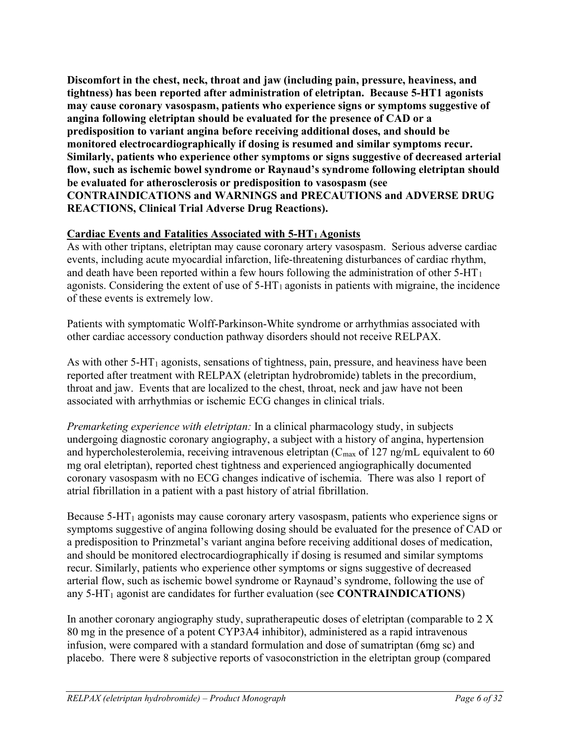Discomfort in the chest, neck, throat and jaw (including pain, pressure, heaviness, and tightness) has been reported after administration of eletriptan. Because 5-HT1 agonists may cause coronary vasospasm, patients who experience signs or symptoms suggestive of angina following eletriptan should be evaluated for the presence of CAD or a predisposition to variant angina before receiving additional doses, and should be monitored electrocardiographically if dosing is resumed and similar symptoms recur. Similarly, patients who experience other symptoms or signs suggestive of decreased arterial flow, such as ischemic bowel syndrome or Raynaud's syndrome following eletriptan should be evaluated for atherosclerosis or predisposition to vasospasm (see CONTRAINDICATIONS and WARNINGS and PRECAUTIONS and ADVERSE DRUG REACTIONS, Clinical Trial Adverse Drug Reactions).

### Cardiac Events and Fatalities Associated with 5-HT1 Agonists

As with other triptans, eletriptan may cause coronary artery vasospasm. Serious adverse cardiac events, including acute myocardial infarction, life-threatening disturbances of cardiac rhythm, and death have been reported within a few hours following the administration of other  $5-HT_1$ agonists. Considering the extent of use of  $5-HT_1$  agonists in patients with migraine, the incidence of these events is extremely low.

Patients with symptomatic Wolff-Parkinson-White syndrome or arrhythmias associated with other cardiac accessory conduction pathway disorders should not receive RELPAX.

As with other  $5-HT_1$  agonists, sensations of tightness, pain, pressure, and heaviness have been reported after treatment with RELPAX (eletriptan hydrobromide) tablets in the precordium, throat and jaw. Events that are localized to the chest, throat, neck and jaw have not been associated with arrhythmias or ischemic ECG changes in clinical trials.

Premarketing experience with eletriptan: In a clinical pharmacology study, in subjects undergoing diagnostic coronary angiography, a subject with a history of angina, hypertension and hypercholesterolemia, receiving intravenous eletriptan ( $C_{\text{max}}$  of 127 ng/mL equivalent to 60 mg oral eletriptan), reported chest tightness and experienced angiographically documented coronary vasospasm with no ECG changes indicative of ischemia. There was also 1 report of atrial fibrillation in a patient with a past history of atrial fibrillation.

Because  $5-HT_1$  agonists may cause coronary artery vasospasm, patients who experience signs or symptoms suggestive of angina following dosing should be evaluated for the presence of CAD or a predisposition to Prinzmetal's variant angina before receiving additional doses of medication, and should be monitored electrocardiographically if dosing is resumed and similar symptoms recur. Similarly, patients who experience other symptoms or signs suggestive of decreased arterial flow, such as ischemic bowel syndrome or Raynaud's syndrome, following the use of any 5-HT<sub>1</sub> agonist are candidates for further evaluation (see CONTRAINDICATIONS)

In another coronary angiography study, supratherapeutic doses of eletriptan (comparable to 2 X 80 mg in the presence of a potent CYP3A4 inhibitor), administered as a rapid intravenous infusion, were compared with a standard formulation and dose of sumatriptan (6mg sc) and placebo. There were 8 subjective reports of vasoconstriction in the eletriptan group (compared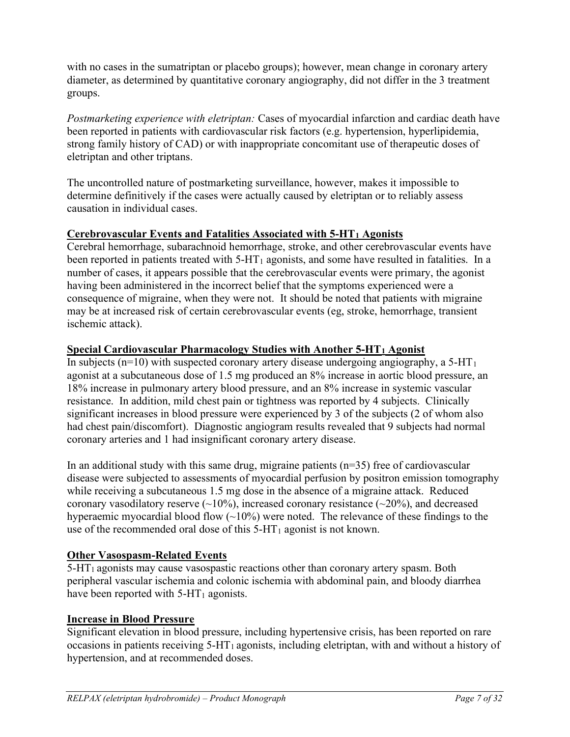with no cases in the sumatriptan or placebo groups); however, mean change in coronary artery diameter, as determined by quantitative coronary angiography, did not differ in the 3 treatment groups.

Postmarketing experience with eletriptan: Cases of myocardial infarction and cardiac death have been reported in patients with cardiovascular risk factors (e.g. hypertension, hyperlipidemia, strong family history of CAD) or with inappropriate concomitant use of therapeutic doses of eletriptan and other triptans.

The uncontrolled nature of postmarketing surveillance, however, makes it impossible to determine definitively if the cases were actually caused by eletriptan or to reliably assess causation in individual cases.

### Cerebrovascular Events and Fatalities Associated with 5-HT1 Agonists

Cerebral hemorrhage, subarachnoid hemorrhage, stroke, and other cerebrovascular events have been reported in patients treated with  $5-HT_1$  agonists, and some have resulted in fatalities. In a number of cases, it appears possible that the cerebrovascular events were primary, the agonist having been administered in the incorrect belief that the symptoms experienced were a consequence of migraine, when they were not. It should be noted that patients with migraine may be at increased risk of certain cerebrovascular events (eg, stroke, hemorrhage, transient ischemic attack).

### Special Cardiovascular Pharmacology Studies with Another 5-HT1 Agonist

In subjects ( $n=10$ ) with suspected coronary artery disease undergoing angiography, a 5-HT<sub>1</sub> agonist at a subcutaneous dose of 1.5 mg produced an 8% increase in aortic blood pressure, an 18% increase in pulmonary artery blood pressure, and an 8% increase in systemic vascular resistance. In addition, mild chest pain or tightness was reported by 4 subjects. Clinically significant increases in blood pressure were experienced by 3 of the subjects (2 of whom also had chest pain/discomfort). Diagnostic angiogram results revealed that 9 subjects had normal coronary arteries and 1 had insignificant coronary artery disease.

In an additional study with this same drug, migraine patients  $(n=35)$  free of cardiovascular disease were subjected to assessments of myocardial perfusion by positron emission tomography while receiving a subcutaneous 1.5 mg dose in the absence of a migraine attack. Reduced coronary vasodilatory reserve  $(\sim 10\%)$ , increased coronary resistance  $(\sim 20\%)$ , and decreased hyperaemic myocardial blood flow  $(\sim 10\%)$  were noted. The relevance of these findings to the use of the recommended oral dose of this  $5-HT_1$  agonist is not known.

## Other Vasospasm-Related Events

 $5-HT_1$  agonists may cause vasospastic reactions other than coronary artery spasm. Both peripheral vascular ischemia and colonic ischemia with abdominal pain, and bloody diarrhea have been reported with  $5-HT_1$  agonists.

### Increase in Blood Pressure

Significant elevation in blood pressure, including hypertensive crisis, has been reported on rare occasions in patients receiving 5-HT1 agonists, including eletriptan, with and without a history of hypertension, and at recommended doses.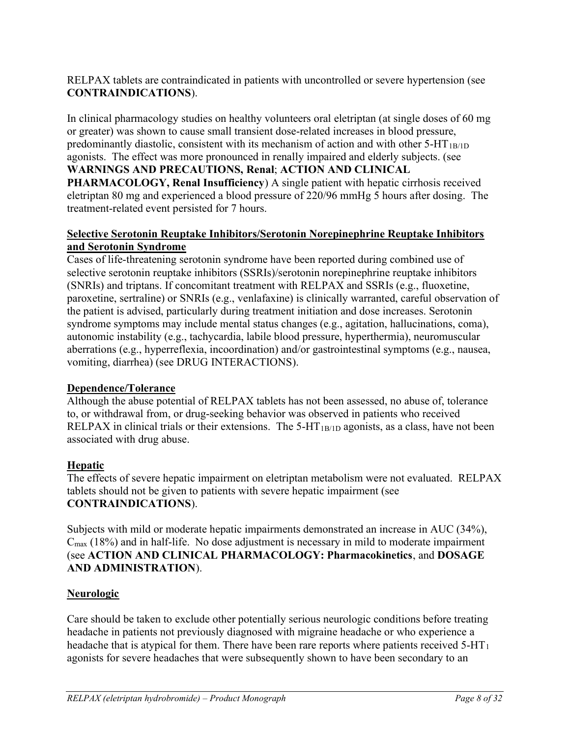### RELPAX tablets are contraindicated in patients with uncontrolled or severe hypertension (see CONTRAINDICATIONS).

In clinical pharmacology studies on healthy volunteers oral eletriptan (at single doses of 60 mg or greater) was shown to cause small transient dose-related increases in blood pressure, predominantly diastolic, consistent with its mechanism of action and with other  $5-HT_{1B/1D}$ agonists. The effect was more pronounced in renally impaired and elderly subjects. (see WARNINGS AND PRECAUTIONS, Renal; ACTION AND CLINICAL

PHARMACOLOGY, Renal Insufficiency) A single patient with hepatic cirrhosis received eletriptan 80 mg and experienced a blood pressure of 220/96 mmHg 5 hours after dosing. The treatment-related event persisted for 7 hours.

### Selective Serotonin Reuptake Inhibitors/Serotonin Norepinephrine Reuptake Inhibitors and Serotonin Syndrome

Cases of life-threatening serotonin syndrome have been reported during combined use of selective serotonin reuptake inhibitors (SSRIs)/serotonin norepinephrine reuptake inhibitors (SNRIs) and triptans. If concomitant treatment with RELPAX and SSRIs (e.g., fluoxetine, paroxetine, sertraline) or SNRIs (e.g., venlafaxine) is clinically warranted, careful observation of the patient is advised, particularly during treatment initiation and dose increases. Serotonin syndrome symptoms may include mental status changes (e.g., agitation, hallucinations, coma), autonomic instability (e.g., tachycardia, labile blood pressure, hyperthermia), neuromuscular aberrations (e.g., hyperreflexia, incoordination) and/or gastrointestinal symptoms (e.g., nausea, vomiting, diarrhea) (see DRUG INTERACTIONS).

## Dependence/Tolerance

Although the abuse potential of RELPAX tablets has not been assessed, no abuse of, tolerance to, or withdrawal from, or drug-seeking behavior was observed in patients who received RELPAX in clinical trials or their extensions. The 5-HT<sub>1B/1D</sub> agonists, as a class, have not been associated with drug abuse.

## Hepatic

The effects of severe hepatic impairment on eletriptan metabolism were not evaluated. RELPAX tablets should not be given to patients with severe hepatic impairment (see CONTRAINDICATIONS).

Subjects with mild or moderate hepatic impairments demonstrated an increase in AUC (34%),  $C<sub>max</sub>$  (18%) and in half-life. No dose adjustment is necessary in mild to moderate impairment (see ACTION AND CLINICAL PHARMACOLOGY: Pharmacokinetics, and DOSAGE AND ADMINISTRATION).

## **Neurologic**

Care should be taken to exclude other potentially serious neurologic conditions before treating headache in patients not previously diagnosed with migraine headache or who experience a headache that is atypical for them. There have been rare reports where patients received  $5-HT_1$ agonists for severe headaches that were subsequently shown to have been secondary to an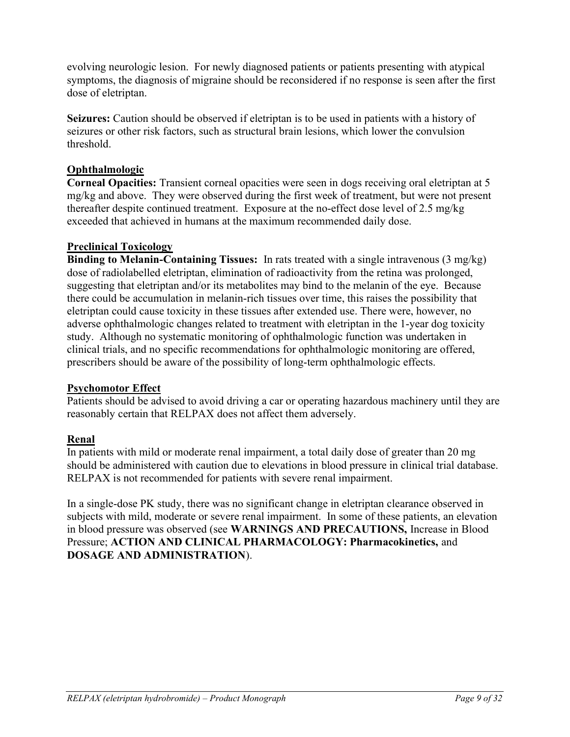evolving neurologic lesion. For newly diagnosed patients or patients presenting with atypical symptoms, the diagnosis of migraine should be reconsidered if no response is seen after the first dose of eletriptan.

Seizures: Caution should be observed if eletriptan is to be used in patients with a history of seizures or other risk factors, such as structural brain lesions, which lower the convulsion threshold.

### Ophthalmologic

Corneal Opacities: Transient corneal opacities were seen in dogs receiving oral eletriptan at 5 mg/kg and above. They were observed during the first week of treatment, but were not present thereafter despite continued treatment. Exposure at the no-effect dose level of 2.5 mg/kg exceeded that achieved in humans at the maximum recommended daily dose.

### Preclinical Toxicology

Binding to Melanin-Containing Tissues: In rats treated with a single intravenous (3 mg/kg) dose of radiolabelled eletriptan, elimination of radioactivity from the retina was prolonged, suggesting that eletriptan and/or its metabolites may bind to the melanin of the eye. Because there could be accumulation in melanin-rich tissues over time, this raises the possibility that eletriptan could cause toxicity in these tissues after extended use. There were, however, no adverse ophthalmologic changes related to treatment with eletriptan in the 1-year dog toxicity study. Although no systematic monitoring of ophthalmologic function was undertaken in clinical trials, and no specific recommendations for ophthalmologic monitoring are offered, prescribers should be aware of the possibility of long-term ophthalmologic effects.

### Psychomotor Effect

Patients should be advised to avoid driving a car or operating hazardous machinery until they are reasonably certain that RELPAX does not affect them adversely.

## Renal

In patients with mild or moderate renal impairment, a total daily dose of greater than 20 mg should be administered with caution due to elevations in blood pressure in clinical trial database. RELPAX is not recommended for patients with severe renal impairment.

In a single-dose PK study, there was no significant change in eletriptan clearance observed in subjects with mild, moderate or severe renal impairment. In some of these patients, an elevation in blood pressure was observed (see WARNINGS AND PRECAUTIONS, Increase in Blood Pressure; ACTION AND CLINICAL PHARMACOLOGY: Pharmacokinetics, and DOSAGE AND ADMINISTRATION).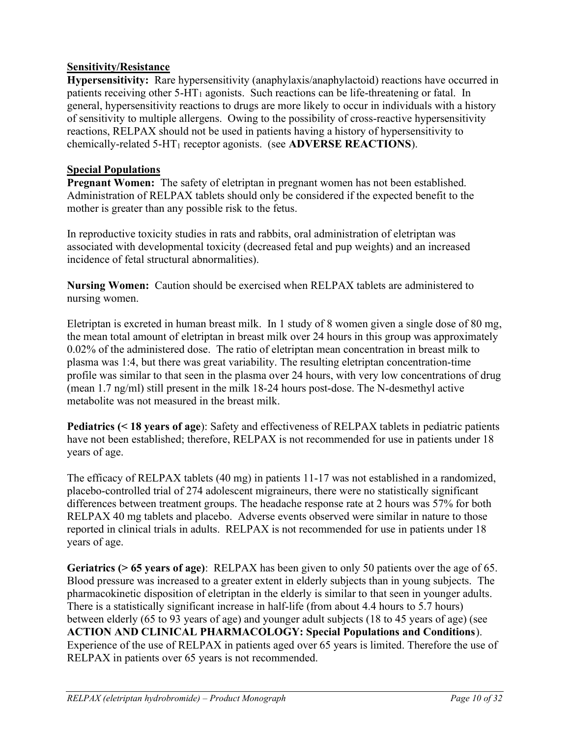### Sensitivity/Resistance

Hypersensitivity: Rare hypersensitivity (anaphylaxis/anaphylactoid) reactions have occurred in patients receiving other  $5-HT_1$  agonists. Such reactions can be life-threatening or fatal. In general, hypersensitivity reactions to drugs are more likely to occur in individuals with a history of sensitivity to multiple allergens. Owing to the possibility of cross-reactive hypersensitivity reactions, RELPAX should not be used in patients having a history of hypersensitivity to chemically-related  $5-HT_1$  receptor agonists. (see ADVERSE REACTIONS).

### Special Populations

Pregnant Women: The safety of eletriptan in pregnant women has not been established. Administration of RELPAX tablets should only be considered if the expected benefit to the mother is greater than any possible risk to the fetus.

In reproductive toxicity studies in rats and rabbits, oral administration of eletriptan was associated with developmental toxicity (decreased fetal and pup weights) and an increased incidence of fetal structural abnormalities).

Nursing Women: Caution should be exercised when RELPAX tablets are administered to nursing women.

Eletriptan is excreted in human breast milk. In 1 study of 8 women given a single dose of 80 mg, the mean total amount of eletriptan in breast milk over 24 hours in this group was approximately 0.02% of the administered dose. The ratio of eletriptan mean concentration in breast milk to plasma was 1:4, but there was great variability. The resulting eletriptan concentration-time profile was similar to that seen in the plasma over 24 hours, with very low concentrations of drug (mean 1.7 ng/ml) still present in the milk 18-24 hours post-dose. The N-desmethyl active metabolite was not measured in the breast milk.

Pediatrics (< 18 years of age): Safety and effectiveness of RELPAX tablets in pediatric patients have not been established; therefore, RELPAX is not recommended for use in patients under 18 years of age.

The efficacy of RELPAX tablets (40 mg) in patients 11-17 was not established in a randomized, placebo-controlled trial of 274 adolescent migraineurs, there were no statistically significant differences between treatment groups. The headache response rate at 2 hours was 57% for both RELPAX 40 mg tablets and placebo. Adverse events observed were similar in nature to those reported in clinical trials in adults. RELPAX is not recommended for use in patients under 18 years of age.

Geriatrics (> 65 years of age): RELPAX has been given to only 50 patients over the age of 65. Blood pressure was increased to a greater extent in elderly subjects than in young subjects. The pharmacokinetic disposition of eletriptan in the elderly is similar to that seen in younger adults. There is a statistically significant increase in half-life (from about 4.4 hours to 5.7 hours) between elderly (65 to 93 years of age) and younger adult subjects (18 to 45 years of age) (see ACTION AND CLINICAL PHARMACOLOGY: Special Populations and Conditions). Experience of the use of RELPAX in patients aged over 65 years is limited. Therefore the use of RELPAX in patients over 65 years is not recommended.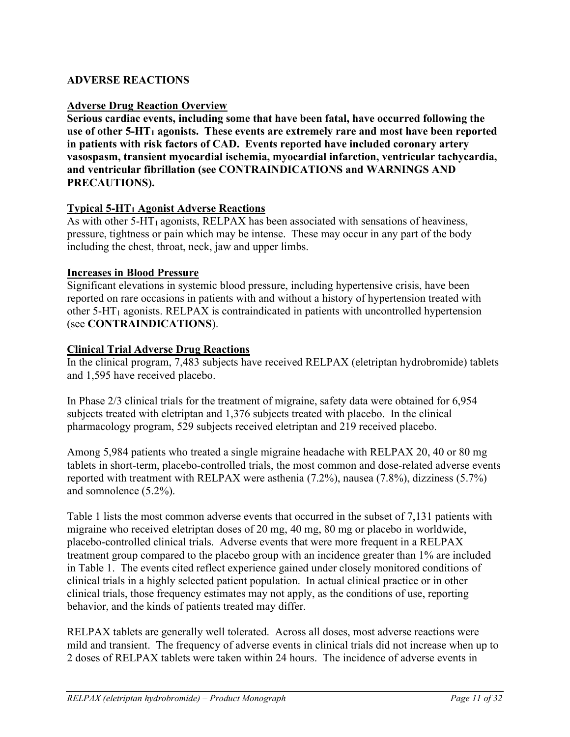### <span id="page-10-0"></span>ADVERSE REACTIONS

#### Adverse Drug Reaction Overview

Serious cardiac events, including some that have been fatal, have occurred following the use of other 5-HT1 agonists. These events are extremely rare and most have been reported in patients with risk factors of CAD. Events reported have included coronary artery vasospasm, transient myocardial ischemia, myocardial infarction, ventricular tachycardia, and ventricular fibrillation (see CONTRAINDICATIONS and WARNINGS AND PRECAUTIONS).

#### Typical 5-HT1 Agonist Adverse Reactions

As with other  $5-HT_1$  agonists, RELPAX has been associated with sensations of heaviness, pressure, tightness or pain which may be intense. These may occur in any part of the body including the chest, throat, neck, jaw and upper limbs.

#### Increases in Blood Pressure

Significant elevations in systemic blood pressure, including hypertensive crisis, have been reported on rare occasions in patients with and without a history of hypertension treated with other  $5-HT_1$  agonists. RELPAX is contraindicated in patients with uncontrolled hypertension (see CONTRAINDICATIONS).

#### Clinical Trial Adverse Drug Reactions

In the clinical program, 7,483 subjects have received RELPAX (eletriptan hydrobromide) tablets and 1,595 have received placebo.

In Phase 2/3 clinical trials for the treatment of migraine, safety data were obtained for 6,954 subjects treated with eletriptan and 1,376 subjects treated with placebo. In the clinical pharmacology program, 529 subjects received eletriptan and 219 received placebo.

Among 5,984 patients who treated a single migraine headache with RELPAX 20, 40 or 80 mg tablets in short-term, placebo-controlled trials, the most common and dose-related adverse events reported with treatment with RELPAX were asthenia (7.2%), nausea (7.8%), dizziness (5.7%) and somnolence (5.2%).

Table 1 lists the most common adverse events that occurred in the subset of 7,131 patients with migraine who received eletriptan doses of 20 mg, 40 mg, 80 mg or placebo in worldwide, placebo-controlled clinical trials. Adverse events that were more frequent in a RELPAX treatment group compared to the placebo group with an incidence greater than 1% are included in Table 1. The events cited reflect experience gained under closely monitored conditions of clinical trials in a highly selected patient population. In actual clinical practice or in other clinical trials, those frequency estimates may not apply, as the conditions of use, reporting behavior, and the kinds of patients treated may differ.

RELPAX tablets are generally well tolerated. Across all doses, most adverse reactions were mild and transient. The frequency of adverse events in clinical trials did not increase when up to 2 doses of RELPAX tablets were taken within 24 hours. The incidence of adverse events in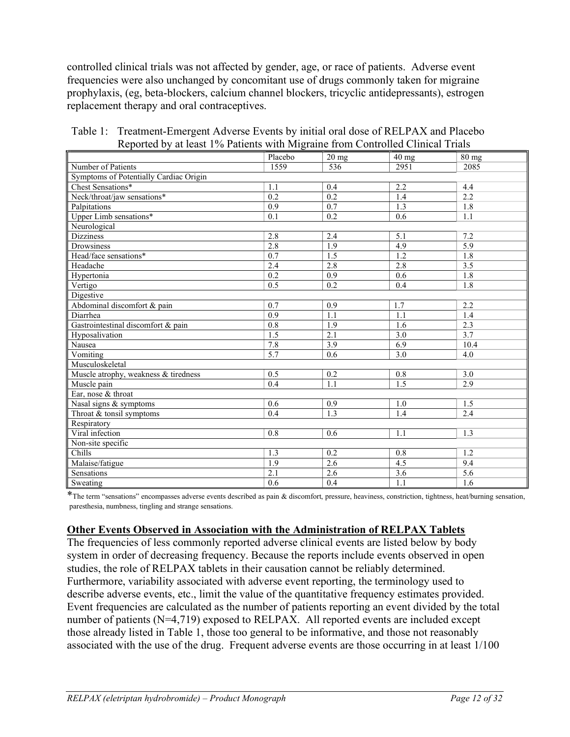controlled clinical trials was not affected by gender, age, or race of patients. Adverse event frequencies were also unchanged by concomitant use of drugs commonly taken for migraine prophylaxis, (eg, beta-blockers, calcium channel blockers, tricyclic antidepressants), estrogen replacement therapy and oral contraceptives.

| Table 1: Treatment-Emergent Adverse Events by initial oral dose of RELPAX and Placebo |
|---------------------------------------------------------------------------------------|
| Reported by at least 1% Patients with Migraine from Controlled Clinical Trials        |

| Reported by at reast 170 Fatterns while the graine from controlled chillen Trians | Placebo          | $20 \text{ mg}$  | $40 \text{ mg}$ | $80 \text{ mg}$  |  |  |
|-----------------------------------------------------------------------------------|------------------|------------------|-----------------|------------------|--|--|
| Number of Patients                                                                | 1559             | 536              | 2951            | 2085             |  |  |
| Symptoms of Potentially Cardiac Origin                                            |                  |                  |                 |                  |  |  |
| Chest Sensations*                                                                 | 1.1              | 0.4              | 2.2             | 4.4              |  |  |
| Neck/throat/jaw sensations*                                                       | 0.2              | 0.2              | 1.4             | 2.2              |  |  |
| Palpitations                                                                      | 0.9              | $0.\overline{7}$ | 1.3             | 1.8              |  |  |
| Upper Limb sensations*                                                            | 0.1              | $\overline{0.2}$ | 0.6             | 1.1              |  |  |
| Neurological                                                                      |                  |                  |                 |                  |  |  |
| <b>Dizziness</b>                                                                  | 2.8              | 2.4              | 5.1             | 7.2              |  |  |
| Drowsiness                                                                        | 2.8              | 1.9              | 4.9             | 5.9              |  |  |
| Head/face sensations*                                                             | 0.7              | 1.5              | 1.2             | 1.8              |  |  |
| Headache                                                                          | 2.4              | $2.\overline{8}$ | 2.8             | 3.5              |  |  |
| Hypertonia                                                                        | 0.2              | 0.9              | 0.6             | $1.\overline{8}$ |  |  |
| Vertigo                                                                           | 0.5              | 0.2              | 0.4             | 1.8              |  |  |
| Digestive                                                                         |                  |                  |                 |                  |  |  |
| Abdominal discomfort & pain                                                       | 0.7              | 0.9              | 1.7             | 2.2              |  |  |
| Diarrhea                                                                          | 0.9              | 1.1              | 1.1             | 1.4              |  |  |
| Gastrointestinal discomfort & pain                                                | 0.8              | 1.9              | 1.6             | 2.3              |  |  |
| Hyposalivation                                                                    | 1.5              | 2.1              | 3.0             | 3.7              |  |  |
| Nausea                                                                            | 7.8              | 3.9              | 6.9             | 10.4             |  |  |
| Vomiting                                                                          | 5.7              | 0.6              | 3.0             | 4.0              |  |  |
| Musculoskeletal                                                                   |                  |                  |                 |                  |  |  |
| Muscle atrophy, weakness & tiredness                                              | 0.5              | 0.2              | 0.8             | 3.0              |  |  |
| Muscle pain                                                                       | 0.4              | 1.1              | 1.5             | 2.9              |  |  |
| Ear, nose & throat                                                                |                  |                  |                 |                  |  |  |
| Nasal signs & symptoms                                                            | 0.6              | 0.9              | 1.0             | 1.5              |  |  |
| Throat & tonsil symptoms                                                          | 0.4              | 1.3              | 1.4             | 2.4              |  |  |
| Respiratory                                                                       |                  |                  |                 |                  |  |  |
| Viral infection                                                                   | 0.8              | 0.6              | 1.1             | 1.3              |  |  |
| Non-site specific                                                                 |                  |                  |                 |                  |  |  |
| Chills                                                                            | 1.3              | 0.2              | 0.8             | 1.2              |  |  |
| Malaise/fatigue                                                                   | $\overline{1.9}$ | 2.6              | 4.5             | 9.4              |  |  |
| Sensations                                                                        | 2.1              | 2.6              | 3.6             | $\overline{5.6}$ |  |  |
| Sweating                                                                          | 0.6              | 0.4              | 1.1             | 1.6              |  |  |

\*The term "sensations" encompasses adverse events described as pain & discomfort, pressure, heaviness, constriction, tightness, heat/burning sensation, paresthesia, numbness, tingling and strange sensations.

## Other Events Observed in Association with the Administration of RELPAX Tablets

The frequencies of less commonly reported adverse clinical events are listed below by body system in order of decreasing frequency. Because the reports include events observed in open studies, the role of RELPAX tablets in their causation cannot be reliably determined. Furthermore, variability associated with adverse event reporting, the terminology used to describe adverse events, etc., limit the value of the quantitative frequency estimates provided. Event frequencies are calculated as the number of patients reporting an event divided by the total number of patients (N=4,719) exposed to RELPAX. All reported events are included except those already listed in Table 1, those too general to be informative, and those not reasonably associated with the use of the drug. Frequent adverse events are those occurring in at least 1/100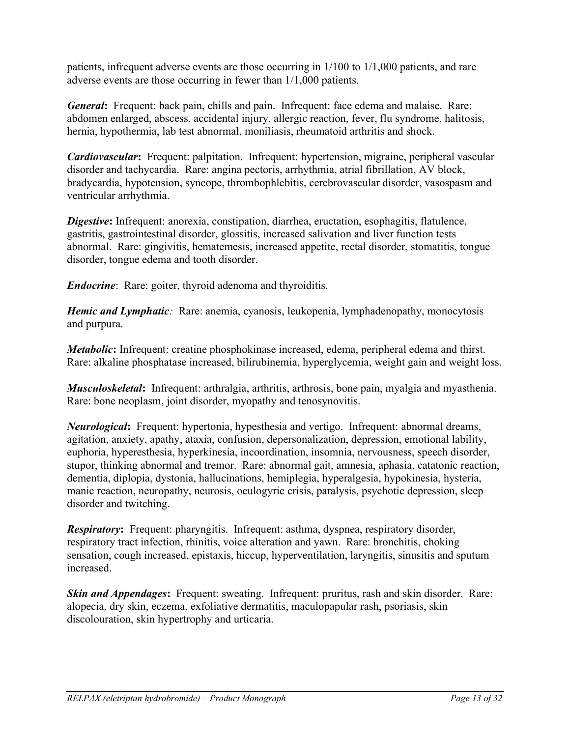patients, infrequent adverse events are those occurring in 1/100 to 1/1,000 patients, and rare adverse events are those occurring in fewer than 1/1,000 patients.

General: Frequent: back pain, chills and pain. Infrequent: face edema and malaise. Rare: abdomen enlarged, abscess, accidental injury, allergic reaction, fever, flu syndrome, halitosis, hernia, hypothermia, lab test abnormal, moniliasis, rheumatoid arthritis and shock.

Cardiovascular: Frequent: palpitation. Infrequent: hypertension, migraine, peripheral vascular disorder and tachycardia. Rare: angina pectoris, arrhythmia, atrial fibrillation, AV block, bradycardia, hypotension, syncope, thrombophlebitis, cerebrovascular disorder, vasospasm and ventricular arrhythmia.

**Digestive:** Infrequent: anorexia, constipation, diarrhea, eructation, esophagitis, flatulence, gastritis, gastrointestinal disorder, glossitis, increased salivation and liver function tests abnormal. Rare: gingivitis, hematemesis, increased appetite, rectal disorder, stomatitis, tongue disorder, tongue edema and tooth disorder.

**Endocrine**: Rare: goiter, thyroid adenoma and thyroiditis.

Hemic and Lymphatic: Rare: anemia, cyanosis, leukopenia, lymphadenopathy, monocytosis and purpura.

*Metabolic*: Infrequent: creatine phosphokinase increased, edema, peripheral edema and thirst. Rare: alkaline phosphatase increased, bilirubinemia, hyperglycemia, weight gain and weight loss.

Musculoskeletal: Infrequent: arthralgia, arthritis, arthrosis, bone pain, myalgia and myasthenia. Rare: bone neoplasm, joint disorder, myopathy and tenosynovitis.

*Neurological*: Frequent: hypertonia, hypesthesia and vertigo. Infrequent: abnormal dreams, agitation, anxiety, apathy, ataxia, confusion, depersonalization, depression, emotional lability, euphoria, hyperesthesia, hyperkinesia, incoordination, insomnia, nervousness, speech disorder, stupor, thinking abnormal and tremor. Rare: abnormal gait, amnesia, aphasia, catatonic reaction, dementia, diplopia, dystonia, hallucinations, hemiplegia, hyperalgesia, hypokinesia, hysteria, manic reaction, neuropathy, neurosis, oculogyric crisis, paralysis, psychotic depression, sleep disorder and twitching.

**Respiratory:** Frequent: pharyngitis. Infrequent: asthma, dyspnea, respiratory disorder, respiratory tract infection, rhinitis, voice alteration and yawn. Rare: bronchitis, choking sensation, cough increased, epistaxis, hiccup, hyperventilation, laryngitis, sinusitis and sputum increased.

Skin and Appendages: Frequent: sweating. Infrequent: pruritus, rash and skin disorder. Rare: alopecia, dry skin, eczema, exfoliative dermatitis, maculopapular rash, psoriasis, skin discolouration, skin hypertrophy and urticaria.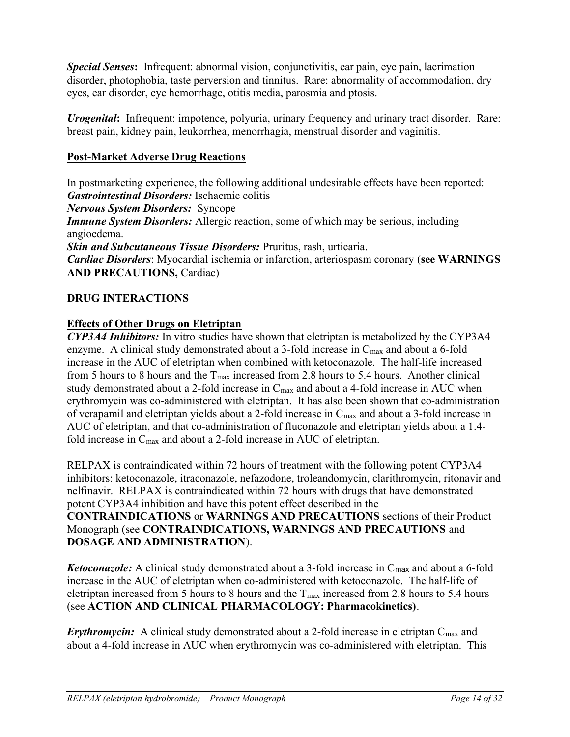<span id="page-13-0"></span>**Special Senses:** Infrequent: abnormal vision, conjunctivitis, ear pain, eye pain, lacrimation disorder, photophobia, taste perversion and tinnitus. Rare: abnormality of accommodation, dry eyes, ear disorder, eye hemorrhage, otitis media, parosmia and ptosis.

Urogenital: Infrequent: impotence, polyuria, urinary frequency and urinary tract disorder. Rare: breast pain, kidney pain, leukorrhea, menorrhagia, menstrual disorder and vaginitis.

### Post-Market Adverse Drug Reactions

In postmarketing experience, the following additional undesirable effects have been reported: Gastrointestinal Disorders: Ischaemic colitis

Nervous System Disorders: Syncope

**Immune System Disorders:** Allergic reaction, some of which may be serious, including angioedema.

Skin and Subcutaneous Tissue Disorders: Pruritus, rash, urticaria.

Cardiac Disorders: Myocardial ischemia or infarction, arteriospasm coronary (see WARNINGS AND PRECAUTIONS, Cardiac)

### DRUG INTERACTIONS

### Effects of Other Drugs on Eletriptan

CYP3A4 Inhibitors: In vitro studies have shown that eletriptan is metabolized by the CYP3A4 enzyme. A clinical study demonstrated about a 3-fold increase in  $C_{\text{max}}$  and about a 6-fold increase in the AUC of eletriptan when combined with ketoconazole. The half-life increased from 5 hours to 8 hours and the  $T_{\text{max}}$  increased from 2.8 hours to 5.4 hours. Another clinical study demonstrated about a 2-fold increase in C<sub>max</sub> and about a 4-fold increase in AUC when erythromycin was co-administered with eletriptan. It has also been shown that co-administration of verapamil and eletriptan yields about a 2-fold increase in  $C_{\text{max}}$  and about a 3-fold increase in AUC of eletriptan, and that co-administration of fluconazole and eletriptan yields about a 1.4 fold increase in Cmax and about a 2-fold increase in AUC of eletriptan.

RELPAX is contraindicated within 72 hours of treatment with the following potent CYP3A4 inhibitors: ketoconazole, itraconazole, nefazodone, troleandomycin, clarithromycin, ritonavir and nelfinavir. RELPAX is contraindicated within 72 hours with drugs that have demonstrated potent CYP3A4 inhibition and have this potent effect described in the CONTRAINDICATIONS or WARNINGS AND PRECAUTIONS sections of their Product Monograph (see CONTRAINDICATIONS, WARNINGS AND PRECAUTIONS and

DOSAGE AND ADMINISTRATION).

Ketoconazole: A clinical study demonstrated about a 3-fold increase in C<sub>max</sub> and about a 6-fold increase in the AUC of eletriptan when co-administered with ketoconazole. The half-life of eletriptan increased from 5 hours to 8 hours and the  $T_{\text{max}}$  increased from 2.8 hours to 5.4 hours (see ACTION AND CLINICAL PHARMACOLOGY: Pharmacokinetics).

**Erythromycin:** A clinical study demonstrated about a 2-fold increase in eletriptan  $C_{\text{max}}$  and about a 4-fold increase in AUC when erythromycin was co-administered with eletriptan. This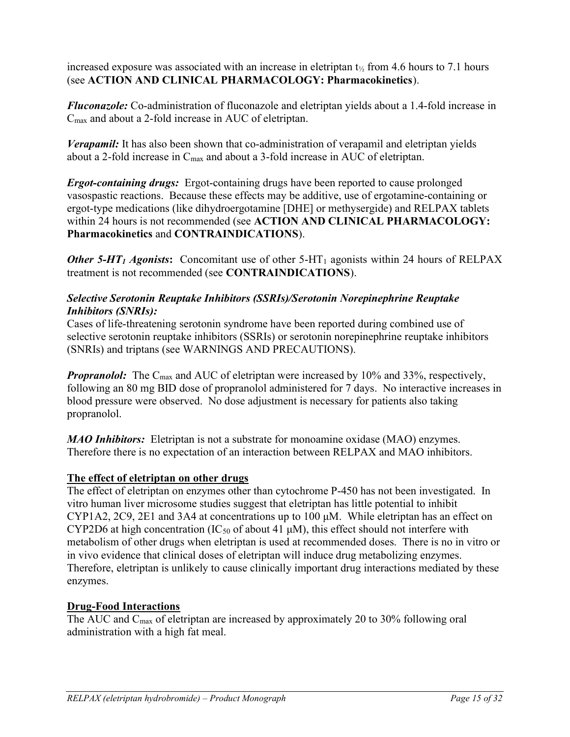increased exposure was associated with an increase in eletriptan  $t<sub>\gamma</sub>$  from 4.6 hours to 7.1 hours (see ACTION AND CLINICAL PHARMACOLOGY: Pharmacokinetics).

Fluconazole: Co-administration of fluconazole and eletriptan yields about a 1.4-fold increase in Cmax and about a 2-fold increase in AUC of eletriptan.

Verapamil: It has also been shown that co-administration of verapamil and eletriptan yields about a 2-fold increase in  $C_{\text{max}}$  and about a 3-fold increase in AUC of eletriptan.

**Ergot-containing drugs:** Ergot-containing drugs have been reported to cause prolonged vasospastic reactions. Because these effects may be additive, use of ergotamine-containing or ergot-type medications (like dihydroergotamine [DHE] or methysergide) and RELPAX tablets within 24 hours is not recommended (see ACTION AND CLINICAL PHARMACOLOGY: Pharmacokinetics and CONTRAINDICATIONS).

**Other 5-HT**<sub>1</sub> Agonists: Concomitant use of other 5-HT<sub>1</sub> agonists within 24 hours of RELPAX treatment is not recommended (see CONTRAINDICATIONS).

### Selective Serotonin Reuptake Inhibitors (SSRIs)/Serotonin Norepinephrine Reuptake Inhibitors (SNRIs):

Cases of life-threatening serotonin syndrome have been reported during combined use of selective serotonin reuptake inhibitors (SSRIs) or serotonin norepinephrine reuptake inhibitors (SNRIs) and triptans (see WARNINGS AND PRECAUTIONS).

**Propranolol:** The C<sub>max</sub> and AUC of eletriptan were increased by 10% and 33%, respectively, following an 80 mg BID dose of propranolol administered for 7 days. No interactive increases in blood pressure were observed. No dose adjustment is necessary for patients also taking propranolol.

MAO Inhibitors: Eletriptan is not a substrate for monoamine oxidase (MAO) enzymes. Therefore there is no expectation of an interaction between RELPAX and MAO inhibitors.

## The effect of eletriptan on other drugs

The effect of eletriptan on enzymes other than cytochrome P-450 has not been investigated. In vitro human liver microsome studies suggest that eletriptan has little potential to inhibit CYP1A2, 2C9, 2E1 and 3A4 at concentrations up to 100 μM. While eletriptan has an effect on CYP2D6 at high concentration (IC<sub>50</sub> of about 41  $\mu$ M), this effect should not interfere with metabolism of other drugs when eletriptan is used at recommended doses. There is no in vitro or in vivo evidence that clinical doses of eletriptan will induce drug metabolizing enzymes. Therefore, eletriptan is unlikely to cause clinically important drug interactions mediated by these enzymes.

## Drug-Food Interactions

The AUC and  $C_{\text{max}}$  of eletriptan are increased by approximately 20 to 30% following oral administration with a high fat meal.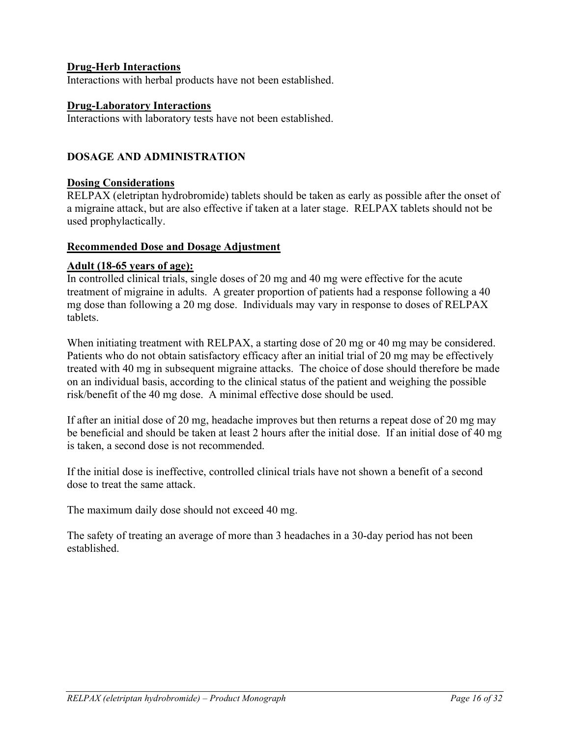### <span id="page-15-0"></span>Drug-Herb Interactions

Interactions with herbal products have not been established.

#### Drug-Laboratory Interactions

Interactions with laboratory tests have not been established.

### DOSAGE AND ADMINISTRATION

#### Dosing Considerations

RELPAX (eletriptan hydrobromide) tablets should be taken as early as possible after the onset of a migraine attack, but are also effective if taken at a later stage. RELPAX tablets should not be used prophylactically.

#### Recommended Dose and Dosage Adjustment

#### Adult (18-65 years of age):

In controlled clinical trials, single doses of 20 mg and 40 mg were effective for the acute treatment of migraine in adults. A greater proportion of patients had a response following a 40 mg dose than following a 20 mg dose. Individuals may vary in response to doses of RELPAX tablets.

When initiating treatment with RELPAX, a starting dose of 20 mg or 40 mg may be considered. Patients who do not obtain satisfactory efficacy after an initial trial of 20 mg may be effectively treated with 40 mg in subsequent migraine attacks. The choice of dose should therefore be made on an individual basis, according to the clinical status of the patient and weighing the possible risk/benefit of the 40 mg dose. A minimal effective dose should be used.

If after an initial dose of 20 mg, headache improves but then returns a repeat dose of 20 mg may be beneficial and should be taken at least 2 hours after the initial dose. If an initial dose of 40 mg is taken, a second dose is not recommended.

If the initial dose is ineffective, controlled clinical trials have not shown a benefit of a second dose to treat the same attack.

The maximum daily dose should not exceed 40 mg.

The safety of treating an average of more than 3 headaches in a 30-day period has not been established.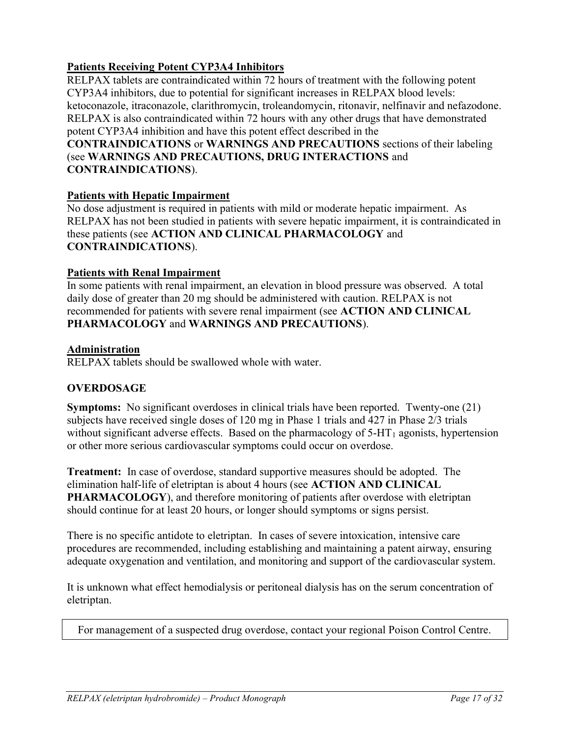### <span id="page-16-0"></span>Patients Receiving Potent CYP3A4 Inhibitors

RELPAX tablets are contraindicated within 72 hours of treatment with the following potent CYP3A4 inhibitors, due to potential for significant increases in RELPAX blood levels: ketoconazole, itraconazole, clarithromycin, troleandomycin, ritonavir, nelfinavir and nefazodone. RELPAX is also contraindicated within 72 hours with any other drugs that have demonstrated potent CYP3A4 inhibition and have this potent effect described in the

#### CONTRAINDICATIONS or WARNINGS AND PRECAUTIONS sections of their labeling (see WARNINGS AND PRECAUTIONS, DRUG INTERACTIONS and CONTRAINDICATIONS).

### Patients with Hepatic Impairment

No dose adjustment is required in patients with mild or moderate hepatic impairment. As RELPAX has not been studied in patients with severe hepatic impairment, it is contraindicated in these patients (see ACTION AND CLINICAL PHARMACOLOGY and CONTRAINDICATIONS).

#### Patients with Renal Impairment

In some patients with renal impairment, an elevation in blood pressure was observed. A total daily dose of greater than 20 mg should be administered with caution. RELPAX is not recommended for patients with severe renal impairment (see ACTION AND CLINICAL PHARMACOLOGY and WARNINGS AND PRECAUTIONS).

#### Administration

RELPAX tablets should be swallowed whole with water.

### **OVERDOSAGE**

Symptoms: No significant overdoses in clinical trials have been reported. Twenty-one (21) subjects have received single doses of 120 mg in Phase 1 trials and 427 in Phase 2/3 trials without significant adverse effects. Based on the pharmacology of  $5-HT_1$  agonists, hypertension or other more serious cardiovascular symptoms could occur on overdose.

Treatment: In case of overdose, standard supportive measures should be adopted. The elimination half-life of eletriptan is about 4 hours (see ACTION AND CLINICAL PHARMACOLOGY), and therefore monitoring of patients after overdose with eletriptan should continue for at least 20 hours, or longer should symptoms or signs persist.

There is no specific antidote to eletriptan. In cases of severe intoxication, intensive care procedures are recommended, including establishing and maintaining a patent airway, ensuring adequate oxygenation and ventilation, and monitoring and support of the cardiovascular system.

It is unknown what effect hemodialysis or peritoneal dialysis has on the serum concentration of eletriptan.

For management of a suspected drug overdose, contact your regional Poison Control Centre.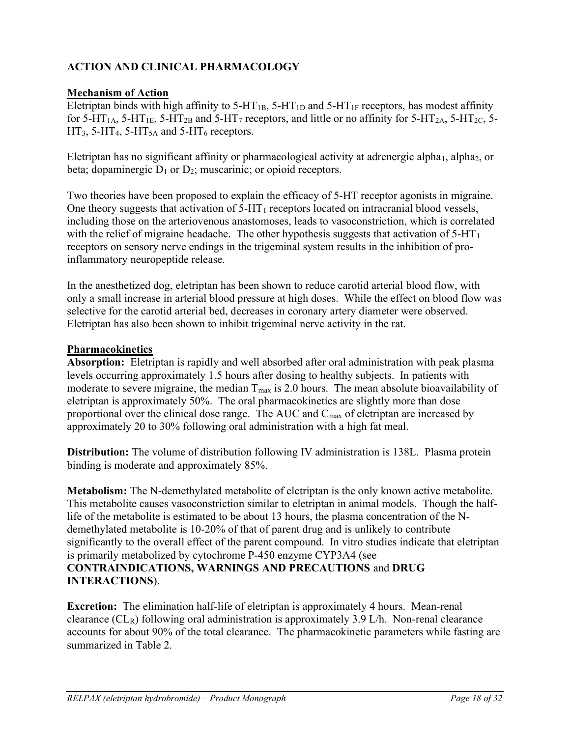## <span id="page-17-0"></span>ACTION AND CLINICAL PHARMACOLOGY

#### Mechanism of Action

Eletriptan binds with high affinity to  $5-HT_{1B}$ ,  $5-HT_{1D}$  and  $5-HT_{1F}$  receptors, has modest affinity for 5-HT<sub>1A</sub>, 5-HT<sub>1E</sub>, 5-HT<sub>2B</sub> and 5-HT<sub>7</sub> receptors, and little or no affinity for 5-HT<sub>2A</sub>, 5-HT<sub>2C</sub>, 5- $HT_3$ , 5-HT<sub>4</sub>, 5-HT<sub>5A</sub> and 5-HT<sub>6</sub> receptors.

Eletriptan has no significant affinity or pharmacological activity at adrenergic alpha<sub>1</sub>, alpha<sub>2</sub>, or beta; dopaminergic  $D_1$  or  $D_2$ ; muscarinic; or opioid receptors.

Two theories have been proposed to explain the efficacy of 5-HT receptor agonists in migraine. One theory suggests that activation of  $5-HT_1$  receptors located on intracranial blood vessels, including those on the arteriovenous anastomoses, leads to vasoconstriction, which is correlated with the relief of migraine headache. The other hypothesis suggests that activation of  $5-HT_1$ receptors on sensory nerve endings in the trigeminal system results in the inhibition of proinflammatory neuropeptide release.

In the anesthetized dog, eletriptan has been shown to reduce carotid arterial blood flow, with only a small increase in arterial blood pressure at high doses. While the effect on blood flow was selective for the carotid arterial bed, decreases in coronary artery diameter were observed. Eletriptan has also been shown to inhibit trigeminal nerve activity in the rat.

#### Pharmacokinetics

Absorption: Eletriptan is rapidly and well absorbed after oral administration with peak plasma levels occurring approximately 1.5 hours after dosing to healthy subjects. In patients with moderate to severe migraine, the median  $T_{\text{max}}$  is 2.0 hours. The mean absolute bioavailability of eletriptan is approximately 50%. The oral pharmacokinetics are slightly more than dose proportional over the clinical dose range. The AUC and  $C_{\text{max}}$  of eletriptan are increased by approximately 20 to 30% following oral administration with a high fat meal.

Distribution: The volume of distribution following IV administration is 138L. Plasma protein binding is moderate and approximately 85%.

Metabolism: The N-demethylated metabolite of eletriptan is the only known active metabolite. This metabolite causes vasoconstriction similar to eletriptan in animal models. Though the halflife of the metabolite is estimated to be about 13 hours, the plasma concentration of the Ndemethylated metabolite is 10-20% of that of parent drug and is unlikely to contribute significantly to the overall effect of the parent compound. In vitro studies indicate that eletriptan is primarily metabolized by cytochrome P-450 enzyme CYP3A4 (see CONTRAINDICATIONS, WARNINGS AND PRECAUTIONS and DRUG INTERACTIONS).

Excretion: The elimination half-life of eletriptan is approximately 4 hours. Mean-renal clearance  $CL_R$ ) following oral administration is approximately 3.9 L/h. Non-renal clearance accounts for about 90% of the total clearance. The pharmacokinetic parameters while fasting are summarized in Table 2.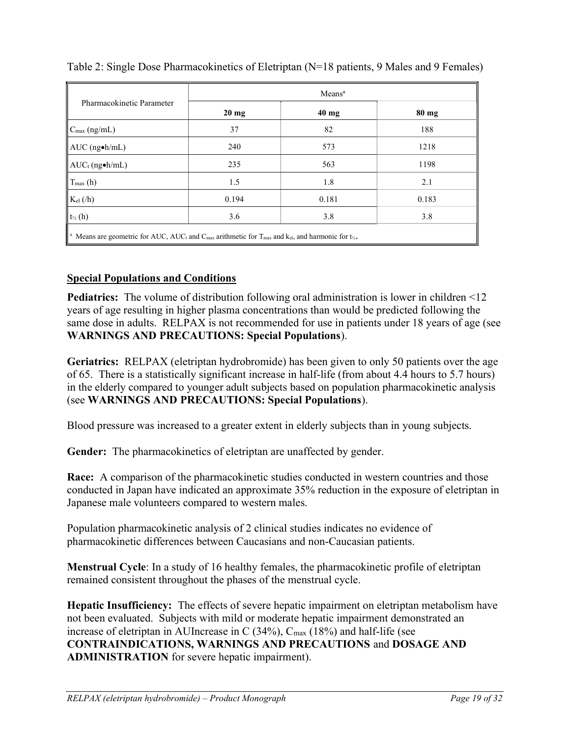|                                 | Mean <sup>a</sup> |                 |                  |
|---------------------------------|-------------------|-----------------|------------------|
| Pharmacokinetic Parameter       | $20 \text{ mg}$   | $40 \text{ mg}$ | 80 <sub>mg</sub> |
| $C_{\text{max}}$ (ng/mL)        | 37                | 82              | 188              |
| $\vert$ AUC (ng $\bullet$ h/mL) | 240               | 573             | 1218             |
| $AUC_t$ (ng•h/mL)               | 235               | 563             | 1198             |
| $T_{\text{max}}(h)$             | 1.5               | 1.8             | 2.1              |
| Kel(h)                          | 0.194             | 0.181           | 0.183            |
| $t_{\frac{1}{2}}(h)$            | 3.6               | 3.8             | 3.8              |

| Table 2: Single Dose Pharmacokinetics of Eletriptan (N=18 patients, 9 Males and 9 Females) |  |  |  |
|--------------------------------------------------------------------------------------------|--|--|--|
|                                                                                            |  |  |  |

## Special Populations and Conditions

Pediatrics: The volume of distribution following oral administration is lower in children <12 years of age resulting in higher plasma concentrations than would be predicted following the same dose in adults. RELPAX is not recommended for use in patients under 18 years of age (see WARNINGS AND PRECAUTIONS: Special Populations).

Geriatrics: RELPAX (eletriptan hydrobromide) has been given to only 50 patients over the age of 65. There is a statistically significant increase in half-life (from about 4.4 hours to 5.7 hours) in the elderly compared to younger adult subjects based on population pharmacokinetic analysis (see WARNINGS AND PRECAUTIONS: Special Populations).

Blood pressure was increased to a greater extent in elderly subjects than in young subjects.

Gender: The pharmacokinetics of eletriptan are unaffected by gender.

Race: A comparison of the pharmacokinetic studies conducted in western countries and those conducted in Japan have indicated an approximate 35% reduction in the exposure of eletriptan in Japanese male volunteers compared to western males.

Population pharmacokinetic analysis of 2 clinical studies indicates no evidence of pharmacokinetic differences between Caucasians and non-Caucasian patients.

Menstrual Cycle: In a study of 16 healthy females, the pharmacokinetic profile of eletriptan remained consistent throughout the phases of the menstrual cycle.

Hepatic Insufficiency: The effects of severe hepatic impairment on eletriptan metabolism have not been evaluated. Subjects with mild or moderate hepatic impairment demonstrated an increase of eletriptan in AUIncrease in C  $(34\%)$ ,  $C_{\text{max}}$   $(18\%)$  and half-life (see CONTRAINDICATIONS, WARNINGS AND PRECAUTIONS and DOSAGE AND ADMINISTRATION for severe hepatic impairment).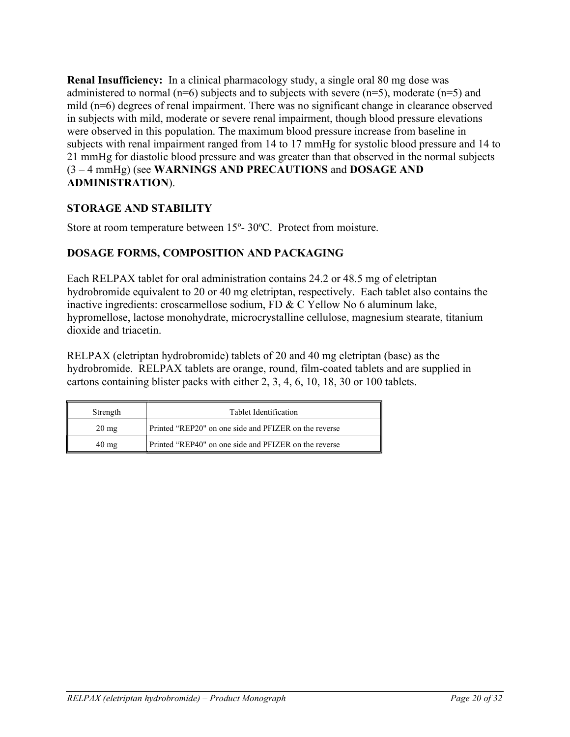<span id="page-19-0"></span>Renal Insufficiency: In a clinical pharmacology study, a single oral 80 mg dose was administered to normal ( $n=6$ ) subjects and to subjects with severe ( $n=5$ ), moderate ( $n=5$ ) and mild (n=6) degrees of renal impairment. There was no significant change in clearance observed in subjects with mild, moderate or severe renal impairment, though blood pressure elevations were observed in this population. The maximum blood pressure increase from baseline in subjects with renal impairment ranged from 14 to 17 mmHg for systolic blood pressure and 14 to 21 mmHg for diastolic blood pressure and was greater than that observed in the normal subjects (3 – 4 mmHg) (see WARNINGS AND PRECAUTIONS and DOSAGE AND ADMINISTRATION).

## STORAGE AND STABILITY

Store at room temperature between 15º- 30ºC. Protect from moisture.

### DOSAGE FORMS, COMPOSITION AND PACKAGING

Each RELPAX tablet for oral administration contains 24.2 or 48.5 mg of eletriptan hydrobromide equivalent to 20 or 40 mg eletriptan, respectively. Each tablet also contains the inactive ingredients: croscarmellose sodium, FD & C Yellow No 6 aluminum lake, hypromellose, lactose monohydrate, microcrystalline cellulose, magnesium stearate, titanium dioxide and triacetin.

RELPAX (eletriptan hydrobromide) tablets of 20 and 40 mg eletriptan (base) as the hydrobromide. RELPAX tablets are orange, round, film-coated tablets and are supplied in cartons containing blister packs with either 2, 3, 4, 6, 10, 18, 30 or 100 tablets.

| Strength           | Tablet Identification                                 |  |  |
|--------------------|-------------------------------------------------------|--|--|
| $20 \,\mathrm{mg}$ | Printed "REP20" on one side and PFIZER on the reverse |  |  |
| $40 \text{ mg}$    | Printed "REP40" on one side and PFIZER on the reverse |  |  |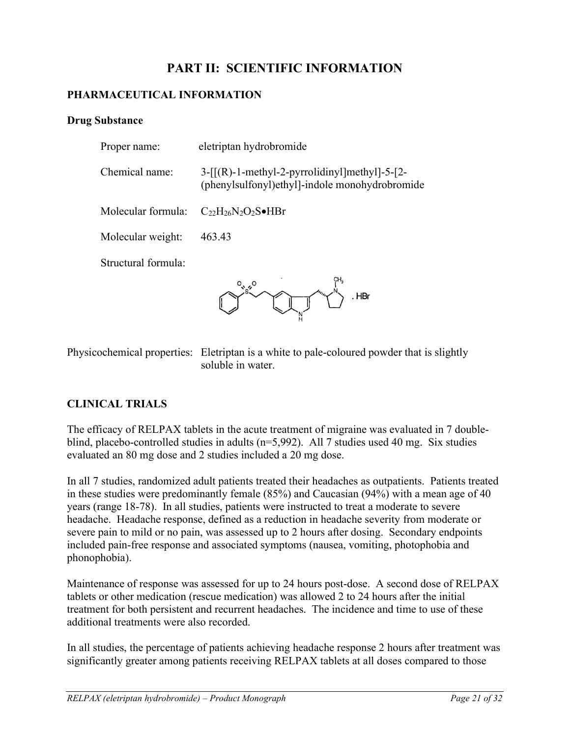# PART II: SCIENTIFIC INFORMATION

### <span id="page-20-0"></span>PHARMACEUTICAL INFORMATION

#### Drug Substance

| Proper name:        | eletriptan hydrobromide                                                                           |
|---------------------|---------------------------------------------------------------------------------------------------|
| Chemical name:      | $3-[[(R)-1-methyl-2-pyrrolidinyl]methyl]-5-[2-$<br>(phenylsulfonyl)ethyl]-indole monohydrobromide |
| Molecular formula:  | $C_{22}H_{26}N_2O_2S\bullet HBr$                                                                  |
| Molecular weight:   | 463.43                                                                                            |
| Structural formula: |                                                                                                   |
|                     | $^{0,0}$                                                                                          |



Physicochemical properties: Eletriptan is a white to pale-coloured powder that is slightly soluble in water.

. HBr

### CLINICAL TRIALS

The efficacy of RELPAX tablets in the acute treatment of migraine was evaluated in 7 doubleblind, placebo-controlled studies in adults (n=5,992). All 7 studies used 40 mg. Six studies evaluated an 80 mg dose and 2 studies included a 20 mg dose.

In all 7 studies, randomized adult patients treated their headaches as outpatients. Patients treated in these studies were predominantly female (85%) and Caucasian (94%) with a mean age of 40 years (range 18-78). In all studies, patients were instructed to treat a moderate to severe headache. Headache response, defined as a reduction in headache severity from moderate or severe pain to mild or no pain, was assessed up to 2 hours after dosing. Secondary endpoints included pain-free response and associated symptoms (nausea, vomiting, photophobia and phonophobia).

Maintenance of response was assessed for up to 24 hours post-dose. A second dose of RELPAX tablets or other medication (rescue medication) was allowed 2 to 24 hours after the initial treatment for both persistent and recurrent headaches. The incidence and time to use of these additional treatments were also recorded.

In all studies, the percentage of patients achieving headache response 2 hours after treatment was significantly greater among patients receiving RELPAX tablets at all doses compared to those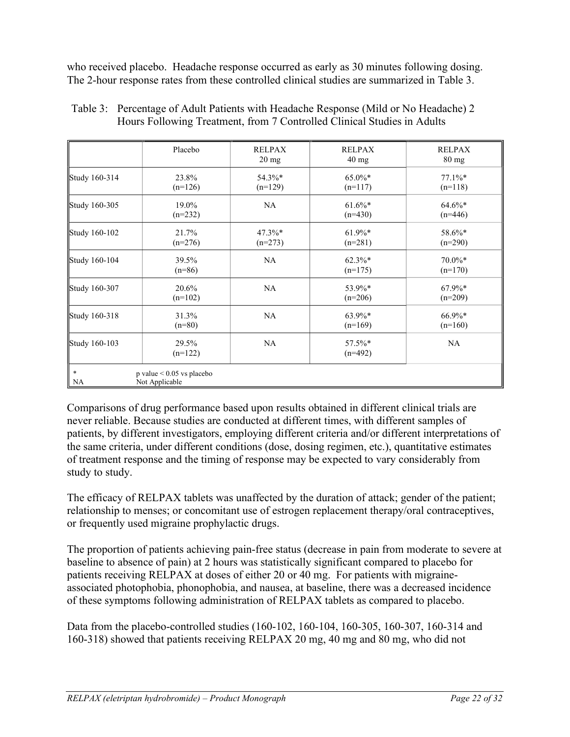who received placebo. Headache response occurred as early as 30 minutes following dosing. The 2-hour response rates from these controlled clinical studies are summarized in Table 3.

|                     | Placebo                                            | <b>RELPAX</b><br>$20 \text{ mg}$ | <b>RELPAX</b><br>$40 \text{ mg}$ | <b>RELPAX</b><br>80 mg |
|---------------------|----------------------------------------------------|----------------------------------|----------------------------------|------------------------|
| Study 160-314       | 23.8%<br>$(n=126)$                                 | 54.3%*<br>$(n=129)$              | $65.0\%*$<br>$(n=117)$           | $77.1\%*$<br>$(n=118)$ |
| Study 160-305       | 19.0%<br>$(n=232)$                                 | NA                               | $61.6\%*$<br>$(n=430)$           | $64.6\%*$<br>$(n=446)$ |
| Study 160-102       | 21.7%<br>$(n=276)$                                 | $47.3\%*$<br>$(n=273)$           | $61.9\%*$<br>$(n=281)$           | 58.6%*<br>$(n=290)$    |
| Study 160-104       | 39.5%<br>$(n=86)$                                  | NA                               | $62.3\%*$<br>$(n=175)$           | $70.0\%*$<br>$(n=170)$ |
| Study 160-307       | 20.6%<br>$(n=102)$                                 | <b>NA</b>                        | 53.9%*<br>$(n=206)$              | $67.9\%*$<br>$(n=209)$ |
| Study 160-318       | 31.3%<br>$(n=80)$                                  | <b>NA</b>                        | $63.9\%*$<br>$(n=169)$           | $66.9\%*$<br>$(n=160)$ |
| Study 160-103       | 29.5%<br>$(n=122)$                                 | NA                               | 57.5%*<br>$(n=492)$              | NA                     |
| $\ast$<br><b>NA</b> | $p$ value $\leq 0.05$ vs placebo<br>Not Applicable |                                  |                                  |                        |

| Table 3: Percentage of Adult Patients with Headache Response (Mild or No Headache) 2 |
|--------------------------------------------------------------------------------------|
| Hours Following Treatment, from 7 Controlled Clinical Studies in Adults              |

Comparisons of drug performance based upon results obtained in different clinical trials are never reliable. Because studies are conducted at different times, with different samples of patients, by different investigators, employing different criteria and/or different interpretations of the same criteria, under different conditions (dose, dosing regimen, etc.), quantitative estimates of treatment response and the timing of response may be expected to vary considerably from study to study.

The efficacy of RELPAX tablets was unaffected by the duration of attack; gender of the patient; relationship to menses; or concomitant use of estrogen replacement therapy/oral contraceptives, or frequently used migraine prophylactic drugs.

The proportion of patients achieving pain-free status (decrease in pain from moderate to severe at baseline to absence of pain) at 2 hours was statistically significant compared to placebo for patients receiving RELPAX at doses of either 20 or 40 mg. For patients with migraineassociated photophobia, phonophobia, and nausea, at baseline, there was a decreased incidence of these symptoms following administration of RELPAX tablets as compared to placebo.

Data from the placebo-controlled studies (160-102, 160-104, 160-305, 160-307, 160-314 and 160-318) showed that patients receiving RELPAX 20 mg, 40 mg and 80 mg, who did not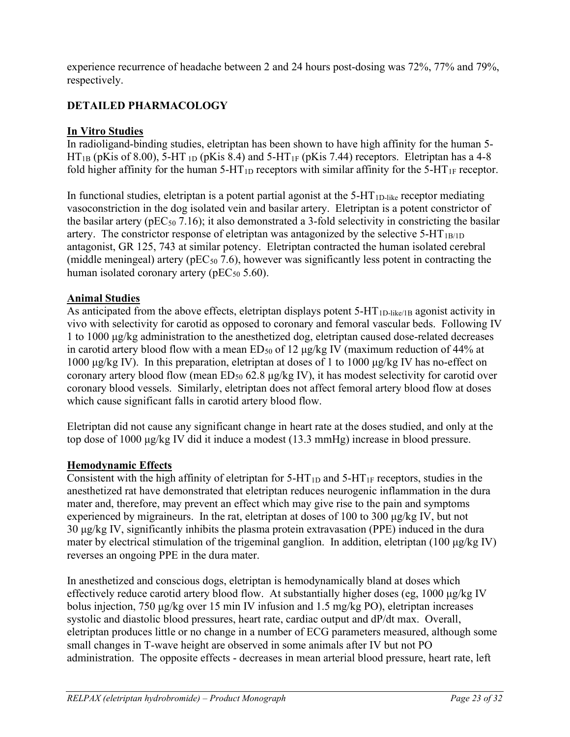<span id="page-22-0"></span>experience recurrence of headache between 2 and 24 hours post-dosing was 72%, 77% and 79%, respectively.

## DETAILED PHARMACOLOGY

## In Vitro Studies

In radioligand-binding studies, eletriptan has been shown to have high affinity for the human 5-  $HT_{1B}$  (pKis of 8.00), 5-HT  $_{1D}$  (pKis 8.4) and 5-HT<sub>1F</sub> (pKis 7.44) receptors. Eletriptan has a 4-8 fold higher affinity for the human 5-HT<sub>1D</sub> receptors with similar affinity for the 5-HT<sub>1F</sub> receptor.

In functional studies, eletriptan is a potent partial agonist at the  $5-HT_{1D-like}$  receptor mediating vasoconstriction in the dog isolated vein and basilar artery. Eletriptan is a potent constrictor of the basilar artery ( $pEC_{50}$  7.16); it also demonstrated a 3-fold selectivity in constricting the basilar artery. The constrictor response of eletriptan was antagonized by the selective  $5-HT_{1B/1D}$ antagonist, GR 125, 743 at similar potency. Eletriptan contracted the human isolated cerebral (middle meningeal) artery ( $pEC_{50}$  7.6), however was significantly less potent in contracting the human isolated coronary artery ( $pEC_{50}$  5.60).

## Animal Studies

As anticipated from the above effects, eletriptan displays potent  $5-HT_{1D-like/1B}$  agonist activity in vivo with selectivity for carotid as opposed to coronary and femoral vascular beds. Following IV 1 to 1000 μg/kg administration to the anesthetized dog, eletriptan caused dose-related decreases in carotid artery blood flow with a mean  $ED_{50}$  of 12  $\mu$ g/kg IV (maximum reduction of 44% at 1000 μg/kg IV). In this preparation, eletriptan at doses of 1 to 1000 μg/kg IV has no-effect on coronary artery blood flow (mean  $ED_{50}$  62.8  $\mu$ g/kg IV), it has modest selectivity for carotid over coronary blood vessels. Similarly, eletriptan does not affect femoral artery blood flow at doses which cause significant falls in carotid artery blood flow.

Eletriptan did not cause any significant change in heart rate at the doses studied, and only at the top dose of 1000 μg/kg IV did it induce a modest (13.3 mmHg) increase in blood pressure.

## Hemodynamic Effects

Consistent with the high affinity of eletriptan for  $5-HT_{1D}$  and  $5-HT_{1F}$  receptors, studies in the anesthetized rat have demonstrated that eletriptan reduces neurogenic inflammation in the dura mater and, therefore, may prevent an effect which may give rise to the pain and symptoms experienced by migraineurs. In the rat, eletriptan at doses of 100 to 300 μg/kg IV, but not 30 μg/kg IV, significantly inhibits the plasma protein extravasation (PPE) induced in the dura mater by electrical stimulation of the trigeminal ganglion. In addition, eletriptan (100 μg/kg IV) reverses an ongoing PPE in the dura mater.

In anesthetized and conscious dogs, eletriptan is hemodynamically bland at doses which effectively reduce carotid artery blood flow. At substantially higher doses (eg, 1000 μg/kg IV bolus injection, 750 μg/kg over 15 min IV infusion and 1.5 mg/kg PO), eletriptan increases systolic and diastolic blood pressures, heart rate, cardiac output and dP/dt max. Overall, eletriptan produces little or no change in a number of ECG parameters measured, although some small changes in T-wave height are observed in some animals after IV but not PO administration. The opposite effects - decreases in mean arterial blood pressure, heart rate, left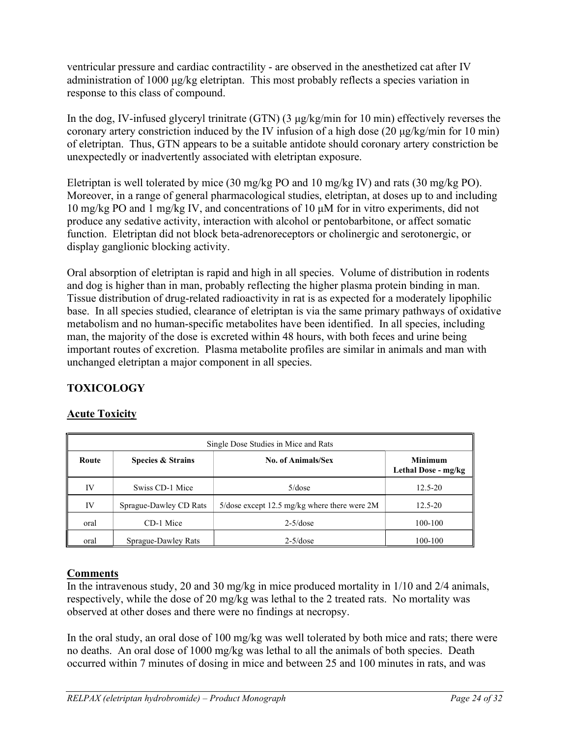<span id="page-23-0"></span>ventricular pressure and cardiac contractility - are observed in the anesthetized cat after IV administration of 1000 μg/kg eletriptan. This most probably reflects a species variation in response to this class of compound.

In the dog, IV-infused glyceryl trinitrate (GTN) (3 μg/kg/min for 10 min) effectively reverses the coronary artery constriction induced by the IV infusion of a high dose (20 μg/kg/min for 10 min) of eletriptan. Thus, GTN appears to be a suitable antidote should coronary artery constriction be unexpectedly or inadvertently associated with eletriptan exposure.

Eletriptan is well tolerated by mice (30 mg/kg PO and 10 mg/kg IV) and rats (30 mg/kg PO). Moreover, in a range of general pharmacological studies, eletriptan, at doses up to and including 10 mg/kg PO and 1 mg/kg IV, and concentrations of 10 μM for in vitro experiments, did not produce any sedative activity, interaction with alcohol or pentobarbitone, or affect somatic function. Eletriptan did not block beta-adrenoreceptors or cholinergic and serotonergic, or display ganglionic blocking activity.

Oral absorption of eletriptan is rapid and high in all species. Volume of distribution in rodents and dog is higher than in man, probably reflecting the higher plasma protein binding in man. Tissue distribution of drug-related radioactivity in rat is as expected for a moderately lipophilic base. In all species studied, clearance of eletriptan is via the same primary pathways of oxidative metabolism and no human-specific metabolites have been identified. In all species, including man, the majority of the dose is excreted within 48 hours, with both feces and urine being important routes of excretion. Plasma metabolite profiles are similar in animals and man with unchanged eletriptan a major component in all species.

## TOXICOLOGY

## **Acute Toxicity**

|       | Single Dose Studies in Mice and Rats               |                                                |             |  |  |  |
|-------|----------------------------------------------------|------------------------------------------------|-------------|--|--|--|
| Route | <b>Species &amp; Strains</b><br>No. of Animals/Sex |                                                |             |  |  |  |
| IV    | Swiss CD-1 Mice                                    | 5/dose                                         | $12.5 - 20$ |  |  |  |
| IV    | Sprague-Dawley CD Rats                             | 5/dose except 12.5 mg/kg where there were $2M$ | $12.5 - 20$ |  |  |  |
| oral  | CD-1 Mice                                          | $2-5$ /dose                                    | 100-100     |  |  |  |
| oral  | Sprague-Dawley Rats                                | $2-5$ /dose                                    | 100-100     |  |  |  |

## **Comments**

In the intravenous study, 20 and 30 mg/kg in mice produced mortality in 1/10 and 2/4 animals, respectively, while the dose of 20 mg/kg was lethal to the 2 treated rats. No mortality was observed at other doses and there were no findings at necropsy.

In the oral study, an oral dose of 100 mg/kg was well tolerated by both mice and rats; there were no deaths. An oral dose of 1000 mg/kg was lethal to all the animals of both species. Death occurred within 7 minutes of dosing in mice and between 25 and 100 minutes in rats, and was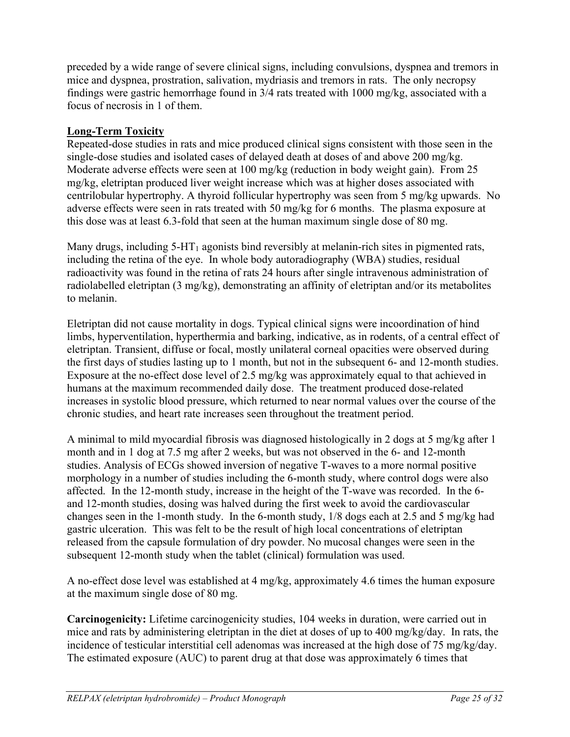preceded by a wide range of severe clinical signs, including convulsions, dyspnea and tremors in mice and dyspnea, prostration, salivation, mydriasis and tremors in rats. The only necropsy findings were gastric hemorrhage found in 3/4 rats treated with 1000 mg/kg, associated with a focus of necrosis in 1 of them.

### Long-Term Toxicity

Repeated-dose studies in rats and mice produced clinical signs consistent with those seen in the single-dose studies and isolated cases of delayed death at doses of and above 200 mg/kg. Moderate adverse effects were seen at 100 mg/kg (reduction in body weight gain). From 25 mg/kg, eletriptan produced liver weight increase which was at higher doses associated with centrilobular hypertrophy. A thyroid follicular hypertrophy was seen from 5 mg/kg upwards. No adverse effects were seen in rats treated with 50 mg/kg for 6 months. The plasma exposure at this dose was at least 6.3-fold that seen at the human maximum single dose of 80 mg.

Many drugs, including  $5-HT_1$  agonists bind reversibly at melanin-rich sites in pigmented rats, including the retina of the eye. In whole body autoradiography (WBA) studies, residual radioactivity was found in the retina of rats 24 hours after single intravenous administration of radiolabelled eletriptan (3 mg/kg), demonstrating an affinity of eletriptan and/or its metabolites to melanin.

Eletriptan did not cause mortality in dogs. Typical clinical signs were incoordination of hind limbs, hyperventilation, hyperthermia and barking, indicative, as in rodents, of a central effect of eletriptan. Transient, diffuse or focal, mostly unilateral corneal opacities were observed during the first days of studies lasting up to 1 month, but not in the subsequent 6- and 12-month studies. Exposure at the no-effect dose level of 2.5 mg/kg was approximately equal to that achieved in humans at the maximum recommended daily dose. The treatment produced dose-related increases in systolic blood pressure, which returned to near normal values over the course of the chronic studies, and heart rate increases seen throughout the treatment period.

A minimal to mild myocardial fibrosis was diagnosed histologically in 2 dogs at 5 mg/kg after 1 month and in 1 dog at 7.5 mg after 2 weeks, but was not observed in the 6- and 12-month studies. Analysis of ECGs showed inversion of negative T-waves to a more normal positive morphology in a number of studies including the 6-month study, where control dogs were also affected. In the 12-month study, increase in the height of the T-wave was recorded. In the 6 and 12-month studies, dosing was halved during the first week to avoid the cardiovascular changes seen in the 1-month study. In the 6-month study, 1/8 dogs each at 2.5 and 5 mg/kg had gastric ulceration. This was felt to be the result of high local concentrations of eletriptan released from the capsule formulation of dry powder. No mucosal changes were seen in the subsequent 12-month study when the tablet (clinical) formulation was used.

A no-effect dose level was established at 4 mg/kg, approximately 4.6 times the human exposure at the maximum single dose of 80 mg.

Carcinogenicity: Lifetime carcinogenicity studies, 104 weeks in duration, were carried out in mice and rats by administering eletriptan in the diet at doses of up to 400 mg/kg/day. In rats, the incidence of testicular interstitial cell adenomas was increased at the high dose of 75 mg/kg/day. The estimated exposure (AUC) to parent drug at that dose was approximately 6 times that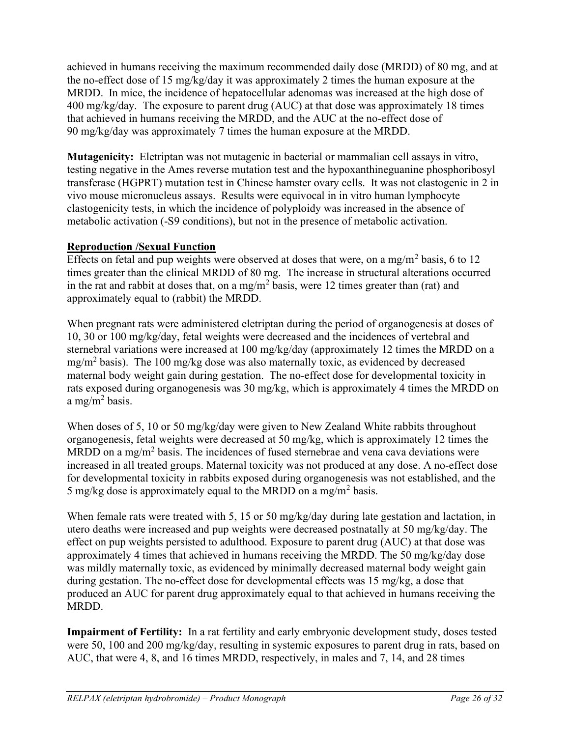achieved in humans receiving the maximum recommended daily dose (MRDD) of 80 mg, and at the no-effect dose of 15 mg/kg/day it was approximately 2 times the human exposure at the MRDD. In mice, the incidence of hepatocellular adenomas was increased at the high dose of 400 mg/kg/day. The exposure to parent drug (AUC) at that dose was approximately 18 times that achieved in humans receiving the MRDD, and the AUC at the no-effect dose of 90 mg/kg/day was approximately 7 times the human exposure at the MRDD.

Mutagenicity: Eletriptan was not mutagenic in bacterial or mammalian cell assays in vitro, testing negative in the Ames reverse mutation test and the hypoxanthineguanine phosphoribosyl transferase (HGPRT) mutation test in Chinese hamster ovary cells. It was not clastogenic in 2 in vivo mouse micronucleus assays. Results were equivocal in in vitro human lymphocyte clastogenicity tests, in which the incidence of polyploidy was increased in the absence of metabolic activation (-S9 conditions), but not in the presence of metabolic activation.

### Reproduction /Sexual Function

Effects on fetal and pup weights were observed at doses that were, on a mg/m<sup>2</sup> basis, 6 to 12 times greater than the clinical MRDD of 80 mg. The increase in structural alterations occurred in the rat and rabbit at doses that, on a mg/m<sup>2</sup> basis, were 12 times greater than (rat) and approximately equal to (rabbit) the MRDD.

When pregnant rats were administered eletriptan during the period of organogenesis at doses of 10, 30 or 100 mg/kg/day, fetal weights were decreased and the incidences of vertebral and sternebral variations were increased at 100 mg/kg/day (approximately 12 times the MRDD on a mg/m<sup>2</sup> basis). The 100 mg/kg dose was also maternally toxic, as evidenced by decreased maternal body weight gain during gestation. The no-effect dose for developmental toxicity in rats exposed during organogenesis was 30 mg/kg, which is approximately 4 times the MRDD on a mg/m<sup>2</sup> basis.

When doses of 5, 10 or 50 mg/kg/day were given to New Zealand White rabbits throughout organogenesis, fetal weights were decreased at 50 mg/kg, which is approximately 12 times the MRDD on a mg/m<sup>2</sup> basis. The incidences of fused sternebrae and vena cava deviations were increased in all treated groups. Maternal toxicity was not produced at any dose. A no-effect dose for developmental toxicity in rabbits exposed during organogenesis was not established, and the 5 mg/kg dose is approximately equal to the MRDD on a mg/m<sup>2</sup> basis.

When female rats were treated with 5, 15 or 50 mg/kg/day during late gestation and lactation, in utero deaths were increased and pup weights were decreased postnatally at 50 mg/kg/day. The effect on pup weights persisted to adulthood. Exposure to parent drug (AUC) at that dose was approximately 4 times that achieved in humans receiving the MRDD. The 50 mg/kg/day dose was mildly maternally toxic, as evidenced by minimally decreased maternal body weight gain during gestation. The no-effect dose for developmental effects was 15 mg/kg, a dose that produced an AUC for parent drug approximately equal to that achieved in humans receiving the MRDD.

Impairment of Fertility: In a rat fertility and early embryonic development study, doses tested were 50, 100 and 200 mg/kg/day, resulting in systemic exposures to parent drug in rats, based on AUC, that were 4, 8, and 16 times MRDD, respectively, in males and 7, 14, and 28 times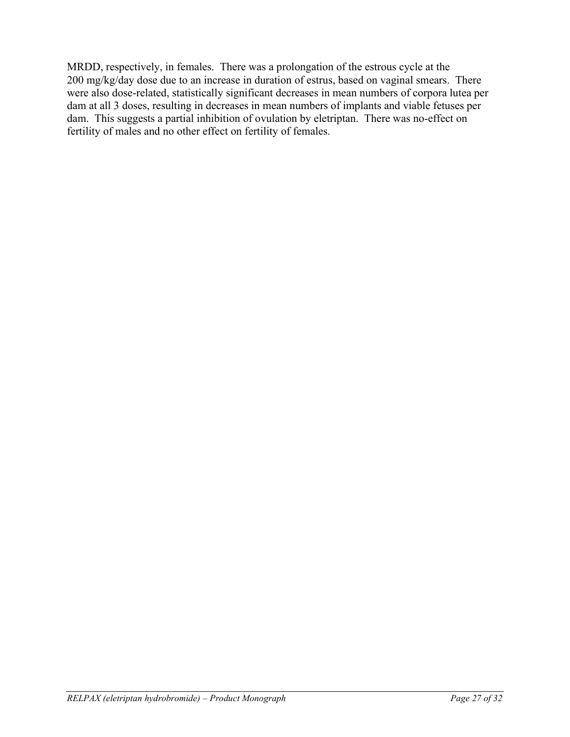MRDD, respectively, in females. There was a prolongation of the estrous cycle at the 200 mg/kg/day dose due to an increase in duration of estrus, based on vaginal smears. There were also dose-related, statistically significant decreases in mean numbers of corpora lutea per dam at all 3 doses, resulting in decreases in mean numbers of implants and viable fetuses per dam. This suggests a partial inhibition of ovulation by eletriptan. There was no-effect on fertility of males and no other effect on fertility of females.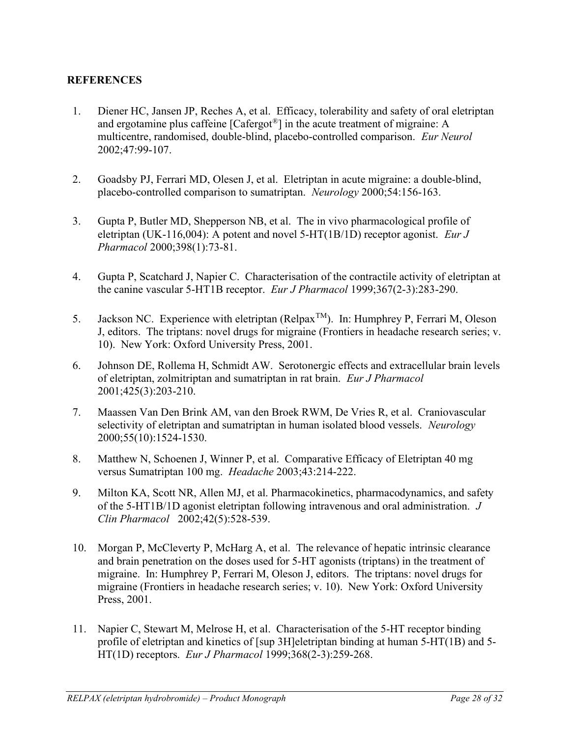### <span id="page-27-0"></span>**REFERENCES**

- 1. Diener HC, Jansen JP, Reches A, et al. Efficacy, tolerability and safety of oral eletriptan and ergotamine plus caffeine [Cafergot®] in the acute treatment of migraine: A multicentre, randomised, double-blind, placebo-controlled comparison. Eur Neurol 2002;47:99-107.
- 2. Goadsby PJ, Ferrari MD, Olesen J, et al. Eletriptan in acute migraine: a double-blind, placebo-controlled comparison to sumatriptan. Neurology 2000;54:156-163.
- 3. Gupta P, Butler MD, Shepperson NB, et al. The in vivo pharmacological profile of eletriptan (UK-116,004): A potent and novel 5-HT(1B/1D) receptor agonist. Eur J Pharmacol 2000;398(1):73-81.
- 4. Gupta P, Scatchard J, Napier C. Characterisation of the contractile activity of eletriptan at the canine vascular 5-HT1B receptor. Eur J Pharmacol 1999;367(2-3):283-290.
- 5. Jackson NC. Experience with eletriptan (Relpax<sup>TM</sup>). In: Humphrey P, Ferrari M, Oleson J, editors. The triptans: novel drugs for migraine (Frontiers in headache research series; v. 10). New York: Oxford University Press, 2001.
- 6. Johnson DE, Rollema H, Schmidt AW. Serotonergic effects and extracellular brain levels of eletriptan, zolmitriptan and sumatriptan in rat brain. Eur J Pharmacol 2001;425(3):203-210.
- 7. Maassen Van Den Brink AM, van den Broek RWM, De Vries R, et al. Craniovascular selectivity of eletriptan and sumatriptan in human isolated blood vessels. Neurology 2000;55(10):1524-1530.
- 8. Matthew N, Schoenen J, Winner P, et al. Comparative Efficacy of Eletriptan 40 mg versus Sumatriptan 100 mg. Headache 2003;43:214-222.
- 9. Milton KA, Scott NR, Allen MJ, et al. Pharmacokinetics, pharmacodynamics, and safety of the 5-HT1B/1D agonist eletriptan following intravenous and oral administration. J Clin Pharmacol 2002;42(5):528-539.
- 10. Morgan P, McCleverty P, McHarg A, et al. The relevance of hepatic intrinsic clearance and brain penetration on the doses used for 5-HT agonists (triptans) in the treatment of migraine. In: Humphrey P, Ferrari M, Oleson J, editors. The triptans: novel drugs for migraine (Frontiers in headache research series; v. 10). New York: Oxford University Press, 2001.
- 11. Napier C, Stewart M, Melrose H, et al. Characterisation of the 5-HT receptor binding profile of eletriptan and kinetics of [sup 3H]eletriptan binding at human 5-HT(1B) and 5- HT(1D) receptors. Eur J Pharmacol 1999;368(2-3):259-268.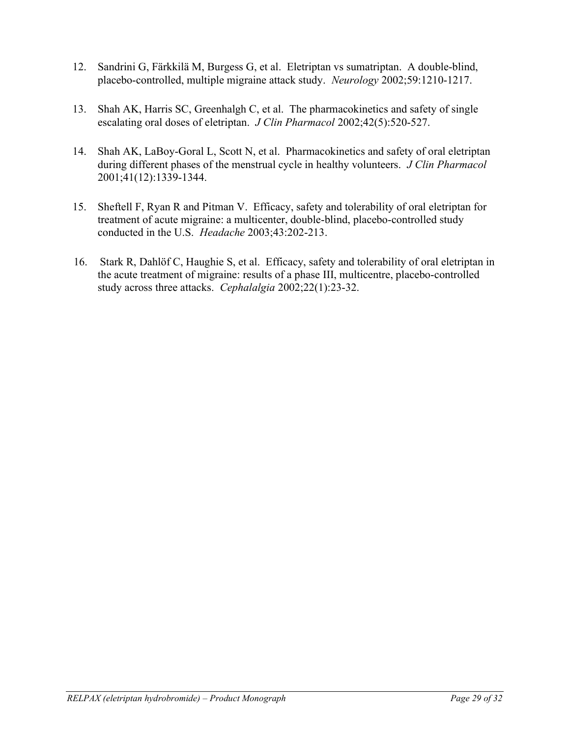- 12. Sandrini G, Färkkilä M, Burgess G, et al. Eletriptan vs sumatriptan. A double-blind, placebo-controlled, multiple migraine attack study. Neurology 2002;59:1210-1217.
- 13. Shah AK, Harris SC, Greenhalgh C, et al. The pharmacokinetics and safety of single escalating oral doses of eletriptan. J Clin Pharmacol 2002;42(5):520-527.
- 14. Shah AK, LaBoy-Goral L, Scott N, et al. Pharmacokinetics and safety of oral eletriptan during different phases of the menstrual cycle in healthy volunteers. *J Clin Pharmacol* 2001;41(12):1339-1344.
- 15. Sheftell F, Ryan R and Pitman V. Efficacy, safety and tolerability of oral eletriptan for treatment of acute migraine: a multicenter, double-blind, placebo-controlled study conducted in the U.S. Headache 2003;43:202-213.
- 16. Stark R, Dahlöf C, Haughie S, et al. Efficacy, safety and tolerability of oral eletriptan in the acute treatment of migraine: results of a phase III, multicentre, placebo-controlled study across three attacks. Cephalalgia 2002;22(1):23-32.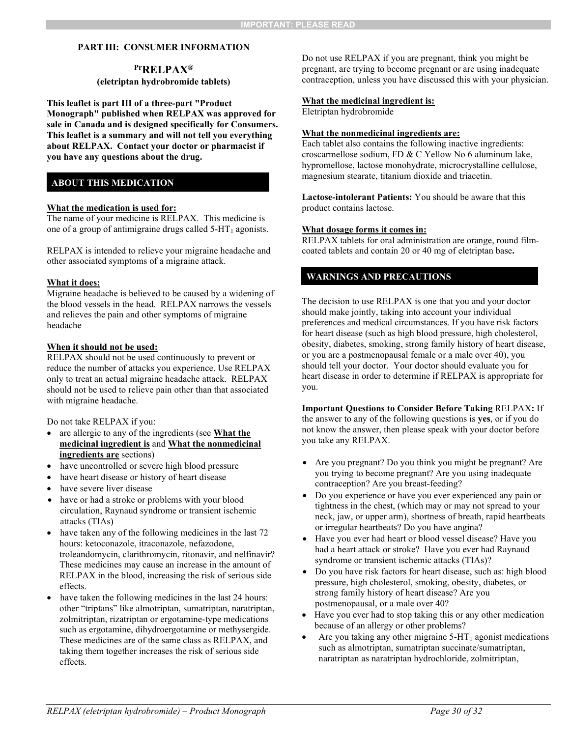#### <span id="page-29-0"></span>PART III: CONSUMER INFORMATION

#### PrRELPAX® (eletriptan hydrobromide tablets)

This leaflet is part III of a three-part "Product Monograph" published when RELPAX was approved for sale in Canada and is designed specifically for Consumers. This leaflet is a summary and will not tell you everything about RELPAX. Contact your doctor or pharmacist if you have any questions about the drug.

#### ABOUT THIS MEDICATION

#### What the medication is used for:

The name of your medicine is RELPAX. This medicine is one of a group of antimigraine drugs called  $5-HT_1$  agonists.

RELPAX is intended to relieve your migraine headache and other associated symptoms of a migraine attack.

#### What it does:

Migraine headache is believed to be caused by a widening of the blood vessels in the head. RELPAX narrows the vessels and relieves the pain and other symptoms of migraine headache

#### When it should not be used:

RELPAX should not be used continuously to prevent or reduce the number of attacks you experience. Use RELPAX only to treat an actual migraine headache attack. RELPAX should not be used to relieve pain other than that associated with migraine headache.

Do not take RELPAX if you:

- are allergic to any of the ingredients (see What the medicinal ingredient is and What the nonmedicinal ingredients are sections)
- have uncontrolled or severe high blood pressure
- have heart disease or history of heart disease
- have severe liver disease
- have or had a stroke or problems with your blood circulation, Raynaud syndrome or transient ischemic attacks (TIAs)
- have taken any of the following medicines in the last 72 hours: ketoconazole, itraconazole, nefazodone, troleandomycin, clarithromycin, ritonavir, and nelfinavir? These medicines may cause an increase in the amount of RELPAX in the blood, increasing the risk of serious side effects.
- have taken the following medicines in the last 24 hours: other "triptans" like almotriptan, sumatriptan, naratriptan, zolmitriptan, rizatriptan or ergotamine-type medications such as ergotamine, dihydroergotamine or methysergide. These medicines are of the same class as RELPAX, and taking them together increases the risk of serious side effects.

Do not use RELPAX if you are pregnant, think you might be pregnant, are trying to become pregnant or are using inadequate contraception, unless you have discussed this with your physician.

#### What the medicinal ingredient is:

Eletriptan hydrobromide

#### What the nonmedicinal ingredients are:

Each tablet also contains the following inactive ingredients: croscarmellose sodium, FD & C Yellow No 6 aluminum lake, hypromellose, lactose monohydrate, microcrystalline cellulose, magnesium stearate, titanium dioxide and triacetin.

Lactose-intolerant Patients: You should be aware that this product contains lactose.

#### What dosage forms it comes in:

RELPAX tablets for oral administration are orange, round filmcoated tablets and contain 20 or 40 mg of eletriptan base.

#### WARNINGS AND PRECAUTIONS

The decision to use RELPAX is one that you and your doctor should make jointly, taking into account your individual preferences and medical circumstances. If you have risk factors for heart disease (such as high blood pressure, high cholesterol, obesity, diabetes, smoking, strong family history of heart disease, or you are a postmenopausal female or a male over 40), you should tell your doctor. Your doctor should evaluate you for heart disease in order to determine if RELPAX is appropriate for you.

Important Questions to Consider Before Taking RELPAX: If the answer to any of the following questions is yes, or if you do not know the answer, then please speak with your doctor before you take any RELPAX.

- Are you pregnant? Do you think you might be pregnant? Are you trying to become pregnant? Are you using inadequate contraception? Are you breast-feeding?
- Do you experience or have you ever experienced any pain or tightness in the chest, (which may or may not spread to your neck, jaw, or upper arm), shortness of breath, rapid heartbeats or irregular heartbeats? Do you have angina?
- Have you ever had heart or blood vessel disease? Have you had a heart attack or stroke? Have you ever had Raynaud syndrome or transient ischemic attacks (TIAs)?
- Do you have risk factors for heart disease, such as: high blood pressure, high cholesterol, smoking, obesity, diabetes, or strong family history of heart disease? Are you postmenopausal, or a male over 40?
- Have you ever had to stop taking this or any other medication because of an allergy or other problems?
- Are you taking any other migraine  $5-HT_1$  agonist medications such as almotriptan, sumatriptan succinate/sumatriptan, naratriptan as naratriptan hydrochloride, zolmitriptan,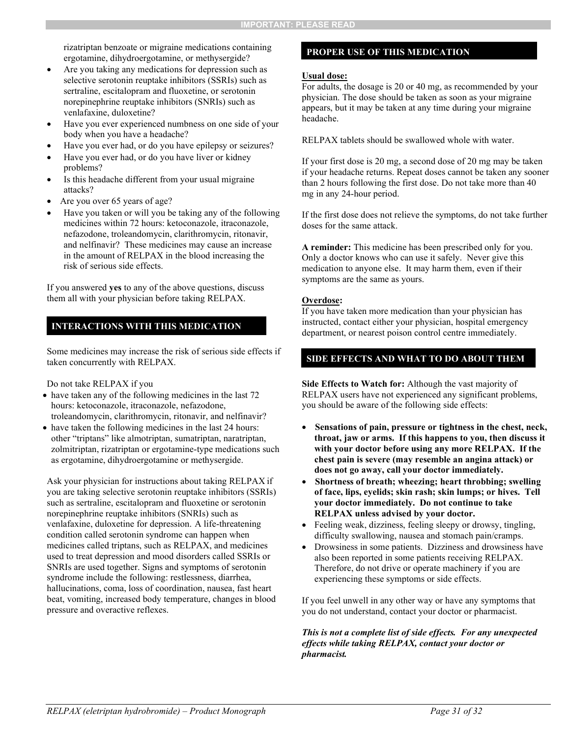rizatriptan benzoate or migraine medications containing ergotamine, dihydroergotamine, or methysergide?

- Are you taking any medications for depression such as selective serotonin reuptake inhibitors (SSRIs) such as sertraline, escitalopram and fluoxetine, or serotonin norepinephrine reuptake inhibitors (SNRIs) such as venlafaxine, duloxetine?
- Have you ever experienced numbness on one side of your body when you have a headache?
- Have you ever had, or do you have epilepsy or seizures?
- Have you ever had, or do you have liver or kidney problems?
- Is this headache different from your usual migraine attacks?
- Are you over 65 years of age?
- Have you taken or will you be taking any of the following medicines within 72 hours: ketoconazole, itraconazole, nefazodone, troleandomycin, clarithromycin, ritonavir, and nelfinavir? These medicines may cause an increase in the amount of RELPAX in the blood increasing the risk of serious side effects.

If you answered yes to any of the above questions, discuss them all with your physician before taking RELPAX.

#### INTERACTIONS WITH THIS MEDICATION

Some medicines may increase the risk of serious side effects if taken concurrently with RELPAX.

Do not take RELPAX if you

- have taken any of the following medicines in the last 72 hours: ketoconazole, itraconazole, nefazodone, troleandomycin, clarithromycin, ritonavir, and nelfinavir?
- have taken the following medicines in the last 24 hours: other "triptans" like almotriptan, sumatriptan, naratriptan, zolmitriptan, rizatriptan or ergotamine-type medications such as ergotamine, dihydroergotamine or methysergide.

Ask your physician for instructions about taking RELPAX if you are taking selective serotonin reuptake inhibitors (SSRIs) such as sertraline, escitalopram and fluoxetine or serotonin norepinephrine reuptake inhibitors (SNRIs) such as venlafaxine, duloxetine for depression. A life-threatening condition called serotonin syndrome can happen when medicines called triptans, such as RELPAX, and medicines used to treat depression and mood disorders called SSRIs or SNRIs are used together. Signs and symptoms of serotonin syndrome include the following: restlessness, diarrhea, hallucinations, coma, loss of coordination, nausea, fast heart beat, vomiting, increased body temperature, changes in blood pressure and overactive reflexes.

#### PROPER USE OF THIS MEDICATION

#### Usual dose:

For adults, the dosage is 20 or 40 mg, as recommended by your physician. The dose should be taken as soon as your migraine appears, but it may be taken at any time during your migraine headache.

RELPAX tablets should be swallowed whole with water.

If your first dose is 20 mg, a second dose of 20 mg may be taken if your headache returns. Repeat doses cannot be taken any sooner than 2 hours following the first dose. Do not take more than 40 mg in any 24-hour period.

If the first dose does not relieve the symptoms, do not take further doses for the same attack.

A reminder: This medicine has been prescribed only for you. Only a doctor knows who can use it safely. Never give this medication to anyone else. It may harm them, even if their symptoms are the same as yours.

#### Overdose:

If you have taken more medication than your physician has instructed, contact either your physician, hospital emergency department, or nearest poison control centre immediately.

#### SIDE EFFECTS AND WHAT TO DO ABOUT THEM

Side Effects to Watch for: Although the vast majority of RELPAX users have not experienced any significant problems, you should be aware of the following side effects:

- Sensations of pain, pressure or tightness in the chest, neck, throat, jaw or arms. If this happens to you, then discuss it with your doctor before using any more RELPAX. If the chest pain is severe (may resemble an angina attack) or does not go away, call your doctor immediately.
- Shortness of breath; wheezing; heart throbbing; swelling of face, lips, eyelids; skin rash; skin lumps; or hives. Tell your doctor immediately. Do not continue to take RELPAX unless advised by your doctor.
- Feeling weak, dizziness, feeling sleepy or drowsy, tingling, difficulty swallowing, nausea and stomach pain/cramps.
- Drowsiness in some patients. Dizziness and drowsiness have also been reported in some patients receiving RELPAX. Therefore, do not drive or operate machinery if you are experiencing these symptoms or side effects.

If you feel unwell in any other way or have any symptoms that you do not understand, contact your doctor or pharmacist.

This is not a complete list of side effects. For any unexpected effects while taking RELPAX, contact your doctor or pharmacist.